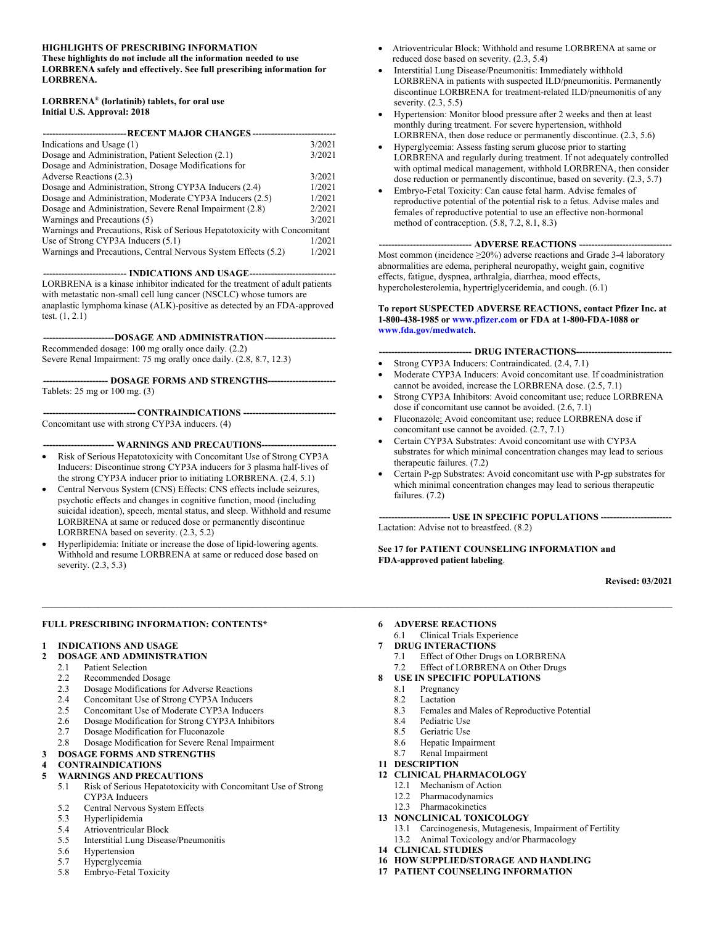#### 13B**HIGHLIGHTS OF PRESCRIBING INFORMATION**

14B**These highlights do not include all the information needed to use LORBRENA safely and effectively. See full prescribing information for LORBRENA.** 

#### **LORBRENA**® **(lorlatinib) tablets, for oral use Initial U.S. Approval: 2018**

| ---------------------------- RECENT MAJOR CHANGES ------                  |        |  |  |
|---------------------------------------------------------------------------|--------|--|--|
| Indications and Usage (1)                                                 | 3/2021 |  |  |
| Dosage and Administration, Patient Selection (2.1)                        | 3/2021 |  |  |
| Dosage and Administration, Dosage Modifications for                       |        |  |  |
| Adverse Reactions (2.3)                                                   | 3/2021 |  |  |
| Dosage and Administration, Strong CYP3A Inducers (2.4)                    | 1/2021 |  |  |
| Dosage and Administration, Moderate CYP3A Inducers (2.5)                  | 1/2021 |  |  |
| Dosage and Administration, Severe Renal Impairment (2.8)                  | 2/2021 |  |  |
| Warnings and Precautions (5)                                              | 3/2021 |  |  |
| Warnings and Precautions, Risk of Serious Hepatotoxicity with Concomitant |        |  |  |
| Use of Strong CYP3A Inducers (5.1)                                        | 1/2021 |  |  |
| Warnings and Precautions, Central Nervous System Effects (5.2)            | 1/2021 |  |  |

--- INDICATIONS AND USAGE--LORBRENA is a kinase inhibitor indicated for the treatment of adult patients with metastatic non-small cell lung cancer (NSCLC) whose tumors are anaplastic lymphoma kinase (ALK)-positive as detected by an FDA-approved test. (1, 2.1)

 **----------------------- DOSAGE AND ADMINISTRATION -----------------------**  Recommended dosage: 100 mg orally once daily. (2.2)

Severe Renal Impairment: 75 mg orally once daily. (2.8, 8.7, 12.3)

 **--------------------- DOSAGE FORMS AND STRENGTHS ----------------------**  Tablets: 25 mg or 100 mg. (3)

 **------------------------------ CONTRAINDICATIONS ------------------------------** 

Concomitant use with strong CYP3A inducers. (4)

 **----------------------- WARNINGS AND PRECAUTIONS ----------------------- -** 

- Risk of Serious Hepatotoxicity with Concomitant Use of Strong CYP3A Inducers: Discontinue strong CYP3A inducers for 3 plasma half-lives of the strong CYP3A inducer prior to initiating LORBRENA. (2.4, 5.1)
- Central Nervous System (CNS) Effects: CNS effects include seizures, psychotic effects and changes in cognitive function, mood (including suicidal ideation), speech, mental status, and sleep. Withhold and resume LORBRENA at same or reduced dose or permanently discontinue LORBRENA based on severity. (2.3, 5.2)
- Hyperlipidemia: Initiate or increase the dose of lipid-lowering agents. Withhold and resume LORBRENA at same or reduced dose based on severity. (2.3, 5.3)

#### **FULL PRESCRIBING INFORMATION: CONTENTS\***

#### **1** 15B**INDICATIONS AND USAGE**

- 2 DOSAGE AND ADMINISTRATION
	- 2.1 Patient Selection
	- 2.2 Recommended Dosage
	- 2.3 Dosage Modifications for Adverse Reactions<br>2.4 Concomitant Use of Strong CYP3A Inducers
	- 2.4 Concomitant Use of Strong CYP3A Inducers
	- 2.5 Concomitant Use of Moderate CYP3A Inducers
	- 2.6 Dosage Modification for Strong CYP3A Inhibitors
	- 2.7 Dosage Modification for Fluconazole
	- 2.8 Dosage Modification for Severe Renal Impairment
- **3 DOSAGE FORMS AND STRENGTHS**

# 4 **CONTRAINDICATIONS**<br>5 **WARNINGS AND PREC**

#### **WARNINGS AND PRECAUTIONS**

- 5.1 Risk of Serious Hepatotoxicity with Concomitant Use of Strong CYP3A Inducers
- 5.2 Central Nervous System Effects
- 5.3 Hyperlipidemia
- 5.4 Atrioventricular Block
- 5.5 Interstitial Lung Disease/Pneumonitis
- 5.6 Hypertension
- 5.7 Hyperglycemia
- 5.8 Embryo-Fetal Toxicity
- Atrioventricular Block: Withhold and resume LORBRENA at same or reduced dose based on severity. (2.3, 5.4)
- Interstitial Lung Disease/Pneumonitis: Immediately withhold LORBRENA in patients with suspected ILD/pneumonitis. Permanently discontinue LORBRENA for treatment-related ILD/pneumonitis of any severity. (2.3, 5.5)
- Hypertension: Monitor blood pressure after 2 weeks and then at least monthly during treatment. For severe hypertension, withhold LORBRENA, then dose reduce or permanently discontinue. (2.3, 5.6)
- Hyperglycemia: Assess fasting serum glucose prior to starting LORBRENA and regularly during treatment. If not adequately controlled with optimal medical management, withhold LORBRENA, then consider dose reduction or permanently discontinue, based on severity. (2.3, 5.7)
- Embryo-Fetal Toxicity: Can cause fetal harm. Advise females of reproductive potential of the potential risk to a fetus. Advise males and females of reproductive potential to use an effective non-hormonal method of contraception. (5.8, 7.2, 8.1, 8.3)

#### ---- ADVERSE REACTIONS ----

Most common (incidence ≥20%) adverse reactions and Grade 3-4 laboratory abnormalities are edema, peripheral neuropathy, weight gain, cognitive effects, fatigue, dyspnea, arthralgia, diarrhea, mood effects, hypercholesterolemia, hypertriglyceridemia, and cough. (6.1)

#### **To report SUSPECTED ADVERSE REACTIONS, contact Pfizer Inc. at 1-800-438-1985 or www.pfizer.com or FDA at 1-800-FDA-1088 or www.fda.gov/medwatch.**

#### --- DRUG INTERACTIONS----

- Strong CYP3A Inducers: Contraindicated.  $(2.4, 7.1)$
- Moderate CYP3A Inducers: Avoid concomitant use. If coadministration cannot be avoided, increase the LORBRENA dose. (2.5, 7.1)
- Strong CYP3A Inhibitors: Avoid concomitant use; reduce LORBRENA dose if concomitant use cannot be avoided. (2.6, 7.1)
- Fluconazole: Avoid concomitant use; reduce LORBRENA dose if concomitant use cannot be avoided. (2.7, 7.1)
- Certain CYP3A Substrates: Avoid concomitant use with CYP3A substrates for which minimal concentration changes may lead to serious therapeutic failures. (7.2)
- Certain P-gp Substrates: Avoid concomitant use with P-gp substrates for which minimal concentration changes may lead to serious therapeutic failures. (7.2)

 **----------------------- USE IN SPECIFIC POPULATIONS -----------------------**  Lactation: Advise not to breastfeed. (8.2)

**See 17 for PATIENT COUNSELING INFORMATION and FDA-approved patient labeling**.

**Revised: 03/2021** 

#### 20B**6 ADVERSE REACTIONS**

6.1 Clinical Trials Experience

#### 21B**7 DRUG INTERACTIONS**

- 7.1 Effect of Other Drugs on LORBRENA
- 7.2 Effect of LORBRENA on Other Drugs
- 8 USE IN SPECIFIC POPULATIONS
	- 8.1 Pregnancy<br>8.2 Lactation

 $\mathcal{L} = \{ \mathcal{L} = \{ \mathcal{L} = \{ \mathcal{L} = \{ \mathcal{L} = \{ \mathcal{L} = \{ \mathcal{L} = \{ \mathcal{L} = \{ \mathcal{L} = \{ \mathcal{L} = \{ \mathcal{L} = \{ \mathcal{L} = \{ \mathcal{L} = \{ \mathcal{L} = \{ \mathcal{L} = \{ \mathcal{L} = \{ \mathcal{L} = \{ \mathcal{L} = \{ \mathcal{L} = \{ \mathcal{L} = \{ \mathcal{L} = \{ \mathcal{L} = \{ \mathcal{L} = \{ \mathcal{L} = \{ \mathcal{$ 

- Lactation
- 8.3 Females and Males of Reproductive Potential
- 8.4 Pediatric Use
- 8.5 Geriatric Use
- 8.6 Hepatic Impairment
- 8.7 Renal Impairment

#### 11 DESCRIPTION

#### **12 CLINICAL PHARMACOLOGY**

- 12.1 Mechanism of Action
- 12.2 Pharmacodynamics

#### 12.3 Pharmacokinetics 13 NONCLINICAL TOXICOLOGY

- 13.1 Carcinogenesis, Mutagenesis, Impairment of Fertility
- 13.2 Animal Toxicology and/or Pharmacology
- 25B**14 CLINICAL STUDIES**
- 16 HOW SUPPLIED/STORAGE AND HANDLING
- **17 PATIENT COUNSELING INFORMATION**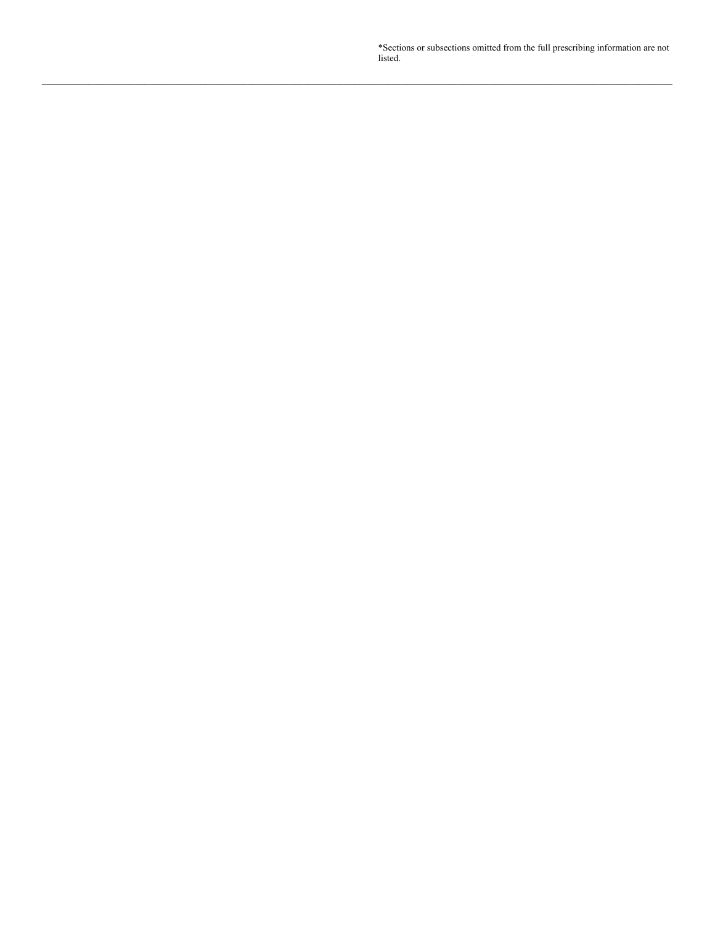\*Sections or subsections omitted from the full prescribing information are not listed.

**\_\_\_\_\_\_\_\_\_\_\_\_\_\_\_\_\_\_\_\_\_\_\_\_\_\_\_\_\_\_\_\_\_\_\_\_\_\_\_\_\_\_\_\_\_\_\_\_\_\_\_\_\_\_\_\_\_\_\_\_\_\_\_\_\_\_\_\_\_\_\_\_\_\_\_\_\_\_\_\_\_\_\_\_\_\_\_\_\_\_\_\_\_\_\_\_\_\_\_\_\_\_\_\_\_\_\_\_\_\_\_\_\_\_\_\_\_\_\_\_\_\_\_\_\_\_\_\_\_\_\_\_\_\_\_**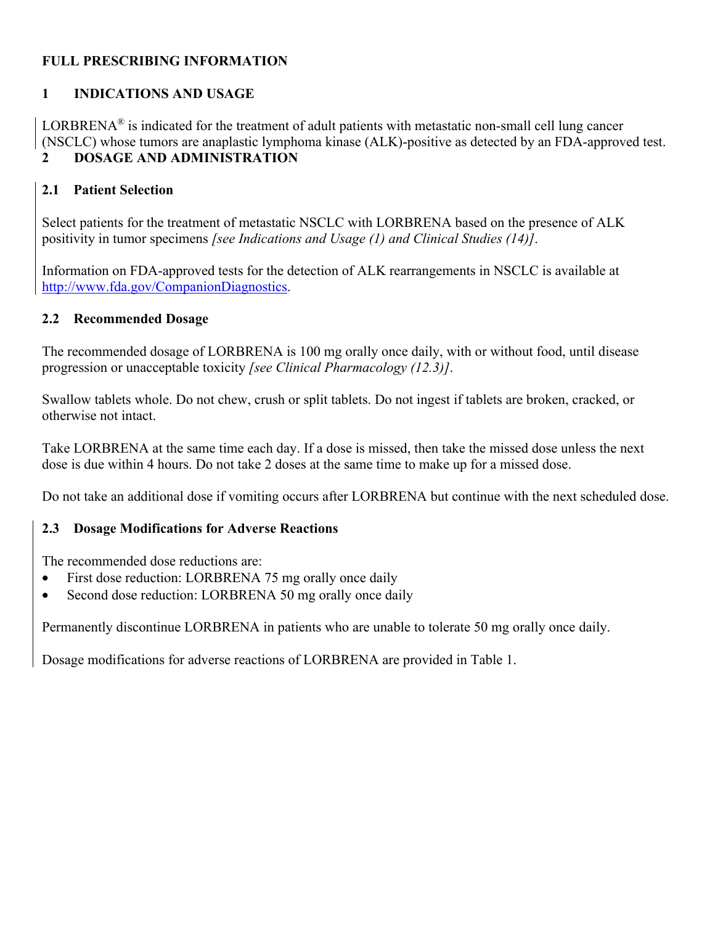## <sup>0</sup>**FULL PRESCRIBING INFORMATION**

## **1 INDICATIONS AND USAGE**

LORBRENA<sup>®</sup> is indicated for the treatment of adult patients with metastatic non-small cell lung cancer (NSCLC) whose tumors are anaplastic lymphoma kinase (ALK)-positive as detected by an FDA-approved test. 2 DOSAGE AND ADMINISTRATION

## **2.1 Patient Selection**

Select patients for the treatment of metastatic NSCLC with LORBRENA based on the presence of ALK positivity in tumor specimens *[see Indications and Usage (1) and Clinical Studies (14)]*.

Information on FDA-approved tests for the detection of ALK rearrangements in NSCLC is available at http://www.fda.gov/CompanionDiagnostics.

#### **2.2 Recommended Dosage**

The recommended dosage of LORBRENA is 100 mg orally once daily, with or without food, until disease progression or unacceptable toxicity *[see Clinical Pharmacology (12.3)]*.

Swallow tablets whole. Do not chew, crush or split tablets. Do not ingest if tablets are broken, cracked, or otherwise not intact.

Take LORBRENA at the same time each day. If a dose is missed, then take the missed dose unless the next dose is due within 4 hours. Do not take 2 doses at the same time to make up for a missed dose.

Do not take an additional dose if vomiting occurs after LORBRENA but continue with the next scheduled dose.

## **2.3 Dosage Modifications for Adverse Reactions**

The recommended dose reductions are:

- First dose reduction: LORBRENA 75 mg orally once daily
- Second dose reduction: LORBRENA 50 mg orally once daily

Permanently discontinue LORBRENA in patients who are unable to tolerate 50 mg orally once daily.

Dosage modifications for adverse reactions of LORBRENA are provided in Table 1.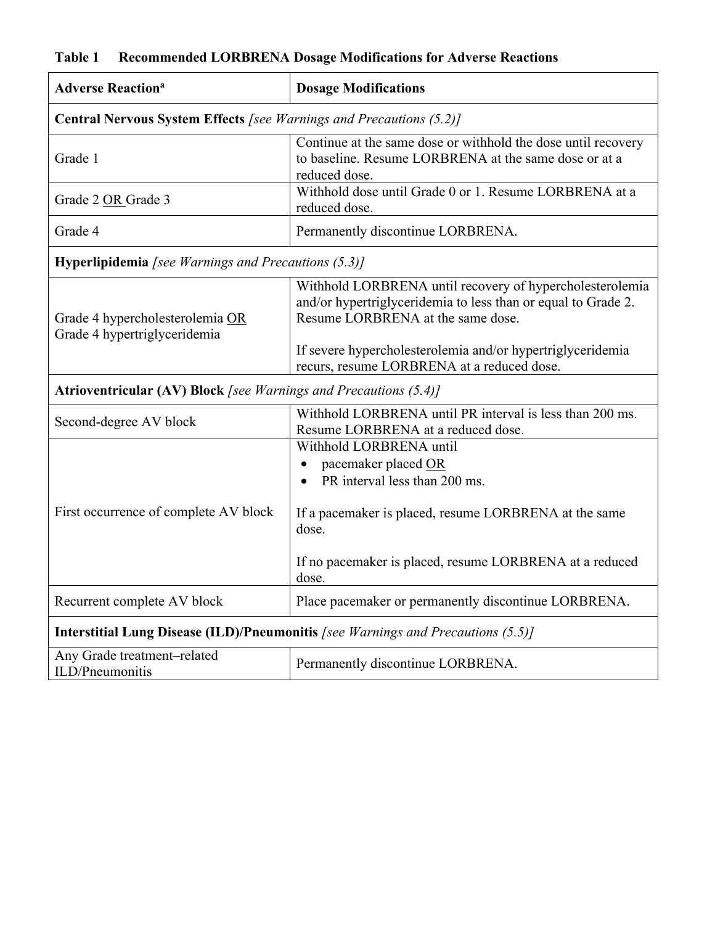# **Table 1 Recommended LORBRENA Dosage Modifications for Adverse Reactions**

| <b>Adverse Reaction<sup>a</sup></b>                                              | <b>Dosage Modifications</b>                                                                                                                                                                                                  |  |  |
|----------------------------------------------------------------------------------|------------------------------------------------------------------------------------------------------------------------------------------------------------------------------------------------------------------------------|--|--|
| <b>Central Nervous System Effects</b> [see Warnings and Precautions (5.2)]       |                                                                                                                                                                                                                              |  |  |
| Grade 1                                                                          | Continue at the same dose or withhold the dose until recovery<br>to baseline. Resume LORBRENA at the same dose or at a<br>reduced dose.                                                                                      |  |  |
| Grade 2 OR Grade 3                                                               | Withhold dose until Grade 0 or 1. Resume LORBRENA at a<br>reduced dose.                                                                                                                                                      |  |  |
| Grade 4                                                                          | Permanently discontinue LORBRENA.                                                                                                                                                                                            |  |  |
| <b>Hyperlipidemia</b> [see Warnings and Precautions $(5.3)$ ]                    |                                                                                                                                                                                                                              |  |  |
| Grade 4 hypercholesterolemia OR<br>Grade 4 hypertriglyceridemia                  | Withhold LORBRENA until recovery of hypercholesterolemia<br>and/or hypertriglyceridemia to less than or equal to Grade 2.<br>Resume LORBRENA at the same dose.<br>If severe hypercholesterolemia and/or hypertriglyceridemia |  |  |
|                                                                                  | recurs, resume LORBRENA at a reduced dose.                                                                                                                                                                                   |  |  |
| <b>Atrioventricular (AV) Block</b> [see Warnings and Precautions (5.4)]          |                                                                                                                                                                                                                              |  |  |
| Second-degree AV block                                                           | Withhold LORBRENA until PR interval is less than 200 ms.<br>Resume LORBRENA at a reduced dose.                                                                                                                               |  |  |
|                                                                                  | Withhold LORBRENA until<br>pacemaker placed OR<br>$\bullet$<br>PR interval less than 200 ms.                                                                                                                                 |  |  |
| First occurrence of complete AV block                                            | If a pacemaker is placed, resume LORBRENA at the same<br>dose.                                                                                                                                                               |  |  |
|                                                                                  | If no pacemaker is placed, resume LORBRENA at a reduced<br>dose.                                                                                                                                                             |  |  |
| Recurrent complete AV block                                                      | Place pacemaker or permanently discontinue LORBRENA.                                                                                                                                                                         |  |  |
| Interstitial Lung Disease (ILD)/Pneumonitis [see Warnings and Precautions (5.5)] |                                                                                                                                                                                                                              |  |  |
| Any Grade treatment-related<br>ILD/Pneumonitis                                   | Permanently discontinue LORBRENA.                                                                                                                                                                                            |  |  |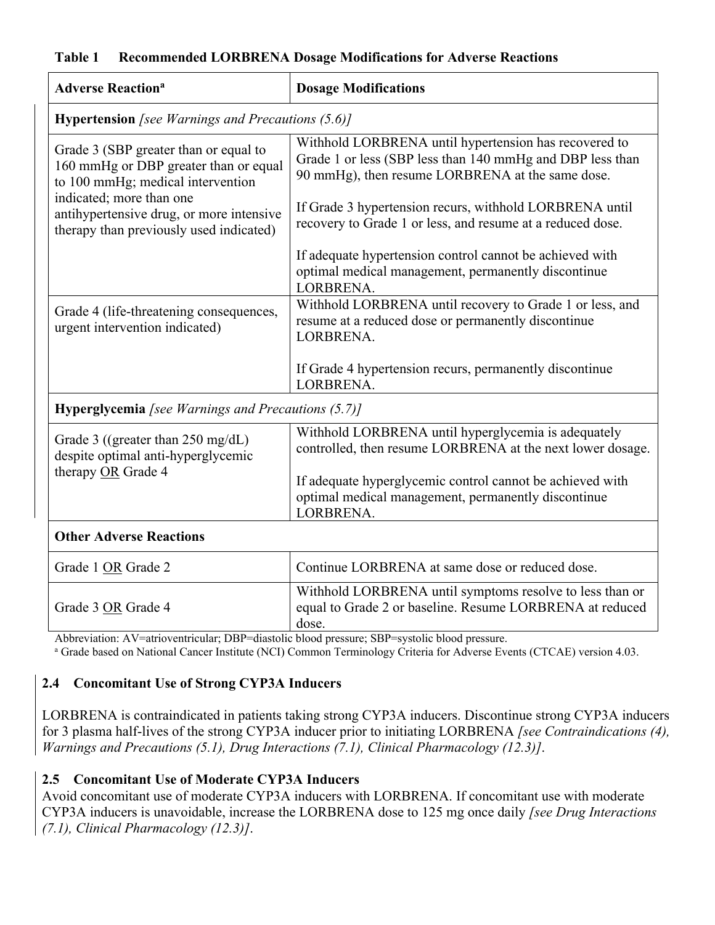#### **Table 1 Recommended LORBRENA Dosage Modifications for Adverse Reactions**

| <b>Adverse Reaction<sup>a</sup></b>                                                                                 | <b>Dosage Modifications</b>                                                                                                                                            |  |  |  |
|---------------------------------------------------------------------------------------------------------------------|------------------------------------------------------------------------------------------------------------------------------------------------------------------------|--|--|--|
|                                                                                                                     | <b>Hypertension</b> [see Warnings and Precautions $(5.6)$ ]                                                                                                            |  |  |  |
| Grade 3 (SBP greater than or equal to<br>160 mmHg or DBP greater than or equal<br>to 100 mmHg; medical intervention | Withhold LORBRENA until hypertension has recovered to<br>Grade 1 or less (SBP less than 140 mmHg and DBP less than<br>90 mmHg), then resume LORBRENA at the same dose. |  |  |  |
| indicated; more than one<br>antihypertensive drug, or more intensive<br>therapy than previously used indicated)     | If Grade 3 hypertension recurs, withhold LORBRENA until<br>recovery to Grade 1 or less, and resume at a reduced dose.                                                  |  |  |  |
|                                                                                                                     | If adequate hypertension control cannot be achieved with<br>optimal medical management, permanently discontinue<br>LORBRENA.                                           |  |  |  |
| Grade 4 (life-threatening consequences,<br>urgent intervention indicated)                                           | Withhold LORBRENA until recovery to Grade 1 or less, and<br>resume at a reduced dose or permanently discontinue<br>LORBRENA.                                           |  |  |  |
|                                                                                                                     | If Grade 4 hypertension recurs, permanently discontinue<br>LORBRENA.                                                                                                   |  |  |  |
| Hyperglycemia [see Warnings and Precautions (5.7)]                                                                  |                                                                                                                                                                        |  |  |  |
| Grade 3 ((greater than 250 mg/dL)<br>despite optimal anti-hyperglycemic                                             | Withhold LORBRENA until hyperglycemia is adequately<br>controlled, then resume LORBRENA at the next lower dosage.                                                      |  |  |  |
| therapy OR Grade 4                                                                                                  | If adequate hyperglycemic control cannot be achieved with<br>optimal medical management, permanently discontinue<br>LORBRENA.                                          |  |  |  |
| <b>Other Adverse Reactions</b>                                                                                      |                                                                                                                                                                        |  |  |  |
| Grade 1 OR Grade 2                                                                                                  | Continue LORBRENA at same dose or reduced dose.                                                                                                                        |  |  |  |
| Grade 3 OR Grade 4<br>Abbreviation: AV=atrioventricular: DBP=diastolic blood pressure: SBP=systolic blood pressure  | Withhold LORBRENA until symptoms resolve to less than or<br>equal to Grade 2 or baseline. Resume LORBRENA at reduced<br>dose.                                          |  |  |  |

Abbreviation: AV=atrioventricular; DBP=diastolic blood pressure; SBP=systolic blood pressure.<br><sup>a</sup> Grade based on National Cancer Institute (NCI) Common Terminology Criteria for Adverse Events (CTCAE) version 4.03.

## **2.4 Concomitant Use of Strong CYP3A Inducers**

LORBRENA is contraindicated in patients taking strong CYP3A inducers. Discontinue strong CYP3A inducers for 3 plasma half-lives of the strong CYP3A inducer prior to initiating LORBRENA *[see Contraindications (4), Warnings and Precautions (5.1), Drug Interactions (7.1), Clinical Pharmacology (12.3)]*.

## **2.5 Concomitant Use of Moderate CYP3A Inducers**

Avoid concomitant use of moderate CYP3A inducers with LORBRENA. If concomitant use with moderate CYP3A inducers is unavoidable, increase the LORBRENA dose to 125 mg once daily *[see Drug Interactions (7.1), Clinical Pharmacology (12.3)]*.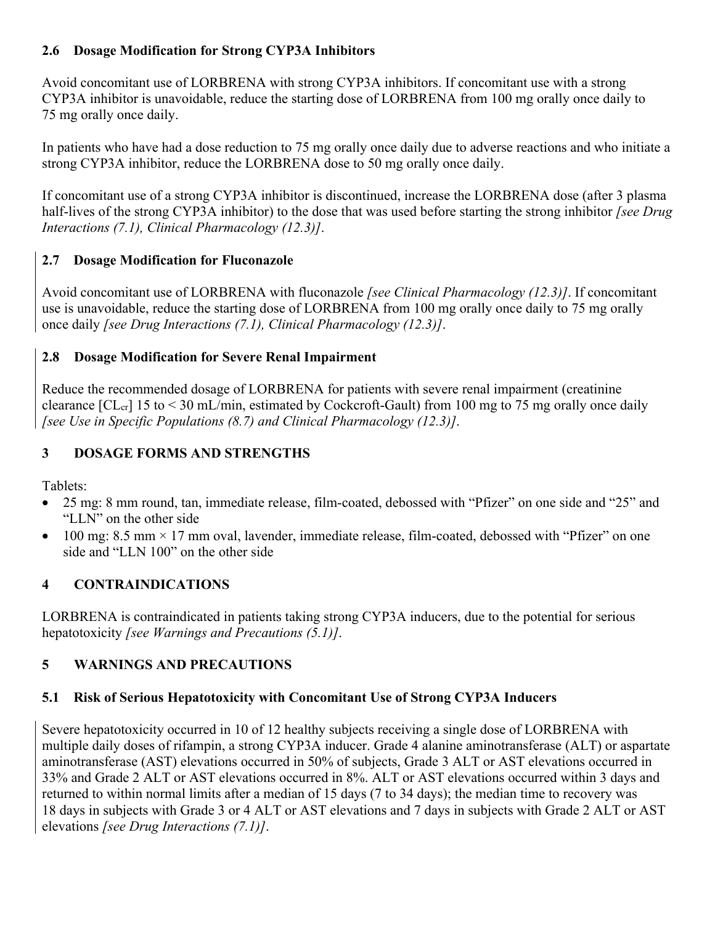## **2.6 Dosage Modification for Strong CYP3A Inhibitors**

Avoid concomitant use of LORBRENA with strong CYP3A inhibitors. If concomitant use with a strong CYP3A inhibitor is unavoidable, reduce the starting dose of LORBRENA from 100 mg orally once daily to 75 mg orally once daily.

In patients who have had a dose reduction to 75 mg orally once daily due to adverse reactions and who initiate a strong CYP3A inhibitor, reduce the LORBRENA dose to 50 mg orally once daily.

If concomitant use of a strong CYP3A inhibitor is discontinued, increase the LORBRENA dose (after 3 plasma half-lives of the strong CYP3A inhibitor) to the dose that was used before starting the strong inhibitor *[see Drug Interactions (7.1), Clinical Pharmacology (12.3)]*.

# **2.7 Dosage Modification for Fluconazole**

Avoid concomitant use of LORBRENA with fluconazole *[see Clinical Pharmacology (12.3)]*. If concomitant use is unavoidable, reduce the starting dose of LORBRENA from 100 mg orally once daily to 75 mg orally once daily *[see Drug Interactions (7.1), Clinical Pharmacology (12.3)]*.

# **2.8 Dosage Modification for Severe Renal Impairment**

Reduce the recommended dosage of LORBRENA for patients with severe renal impairment (creatinine clearance  $[CL_{cr}]$  15 to  $\lt 30$  mL/min, estimated by Cockcroft-Gault) from 100 mg to 75 mg orally once daily *[see Use in Specific Populations (8.7) and Clinical Pharmacology (12.3)]*.

# 2B**3 DOSAGE FORMS AND STRENGTHS**

Tablets:

- 25 mg: 8 mm round, tan, immediate release, film-coated, debossed with "Pfizer" on one side and "25" and "LLN" on the other side
- 100 mg: 8.5 mm  $\times$  17 mm oval, lavender, immediate release, film-coated, debossed with "Pfizer" on one side and "LLN 100" on the other side

# 3B**4 CONTRAINDICATIONS**

LORBRENA is contraindicated in patients taking strong CYP3A inducers, due to the potential for serious hepatotoxicity *[see Warnings and Precautions (5.1)]*.

# 4B**5 WARNINGS AND PRECAUTIONS**

# **5.1 Risk of Serious Hepatotoxicity with Concomitant Use of Strong CYP3A Inducers**

Severe hepatotoxicity occurred in 10 of 12 healthy subjects receiving a single dose of LORBRENA with multiple daily doses of rifampin, a strong CYP3A inducer. Grade 4 alanine aminotransferase (ALT) or aspartate aminotransferase (AST) elevations occurred in 50% of subjects, Grade 3 ALT or AST elevations occurred in 33% and Grade 2 ALT or AST elevations occurred in 8%. ALT or AST elevations occurred within 3 days and returned to within normal limits after a median of 15 days (7 to 34 days); the median time to recovery was 18 days in subjects with Grade 3 or 4 ALT or AST elevations and 7 days in subjects with Grade 2 ALT or AST elevations *[see Drug Interactions (7.1)]*.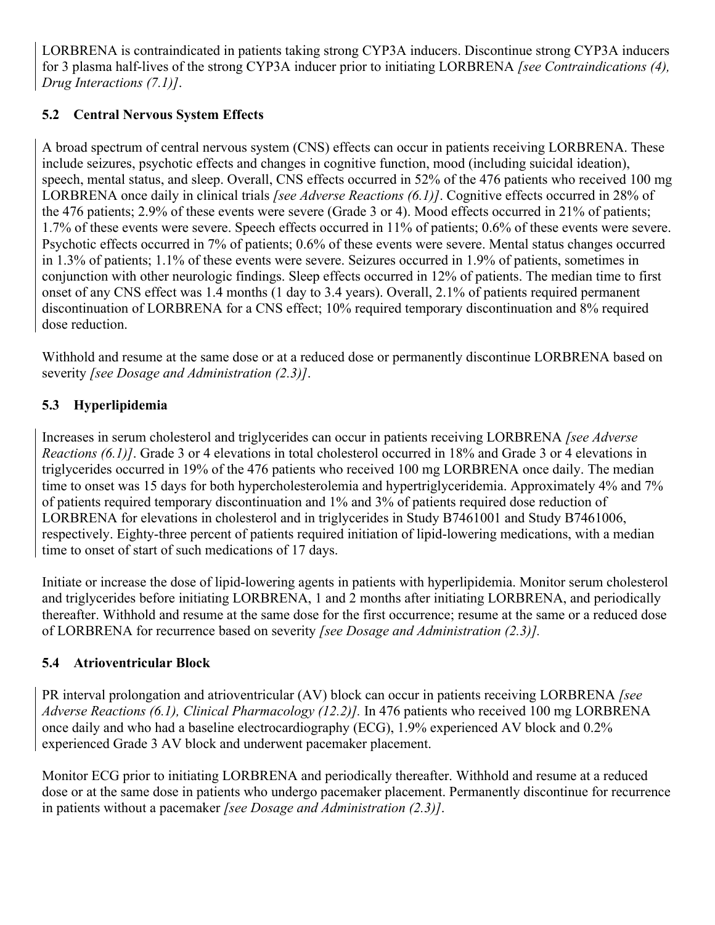LORBRENA is contraindicated in patients taking strong CYP3A inducers. Discontinue strong CYP3A inducers for 3 plasma half-lives of the strong CYP3A inducer prior to initiating LORBRENA *[see Contraindications (4), Drug Interactions (7.1)]*.

# **5.2 Central Nervous System Effects**

A broad spectrum of central nervous system (CNS) effects can occur in patients receiving LORBRENA. These include seizures, psychotic effects and changes in cognitive function, mood (including suicidal ideation), speech, mental status, and sleep. Overall, CNS effects occurred in 52% of the 476 patients who received 100 mg LORBRENA once daily in clinical trials *[see Adverse Reactions (6.1)]*. Cognitive effects occurred in 28% of the 476 patients; 2.9% of these events were severe (Grade 3 or 4). Mood effects occurred in 21% of patients; 1.7% of these events were severe. Speech effects occurred in 11% of patients; 0.6% of these events were severe. Psychotic effects occurred in 7% of patients; 0.6% of these events were severe. Mental status changes occurred in 1.3% of patients; 1.1% of these events were severe. Seizures occurred in 1.9% of patients, sometimes in conjunction with other neurologic findings. Sleep effects occurred in 12% of patients. The median time to first onset of any CNS effect was 1.4 months (1 day to 3.4 years). Overall, 2.1% of patients required permanent discontinuation of LORBRENA for a CNS effect; 10% required temporary discontinuation and 8% required dose reduction.

Withhold and resume at the same dose or at a reduced dose or permanently discontinue LORBRENA based on severity *[see Dosage and Administration (2.3)]*.

# **5.3 Hyperlipidemia**

Increases in serum cholesterol and triglycerides can occur in patients receiving LORBRENA *[see Adverse Reactions (6.1)]*. Grade 3 or 4 elevations in total cholesterol occurred in 18% and Grade 3 or 4 elevations in triglycerides occurred in 19% of the 476 patients who received 100 mg LORBRENA once daily. The median time to onset was 15 days for both hypercholesterolemia and hypertriglyceridemia. Approximately 4% and 7% of patients required temporary discontinuation and 1% and 3% of patients required dose reduction of LORBRENA for elevations in cholesterol and in triglycerides in Study B7461001 and Study B7461006, respectively. Eighty-three percent of patients required initiation of lipid-lowering medications, with a median time to onset of start of such medications of 17 days.

Initiate or increase the dose of lipid-lowering agents in patients with hyperlipidemia. Monitor serum cholesterol and triglycerides before initiating LORBRENA, 1 and 2 months after initiating LORBRENA, and periodically thereafter. Withhold and resume at the same dose for the first occurrence; resume at the same or a reduced dose of LORBRENA for recurrence based on severity *[see Dosage and Administration (2.3)].*

## **5.4 Atrioventricular Block**

PR interval prolongation and atrioventricular (AV) block can occur in patients receiving LORBRENA *[see Adverse Reactions (6.1), Clinical Pharmacology (12.2)].* In 476 patients who received 100 mg LORBRENA once daily and who had a baseline electrocardiography (ECG), 1.9% experienced AV block and 0.2% experienced Grade 3 AV block and underwent pacemaker placement.

Monitor ECG prior to initiating LORBRENA and periodically thereafter. Withhold and resume at a reduced dose or at the same dose in patients who undergo pacemaker placement. Permanently discontinue for recurrence in patients without a pacemaker *[see Dosage and Administration (2.3)]*.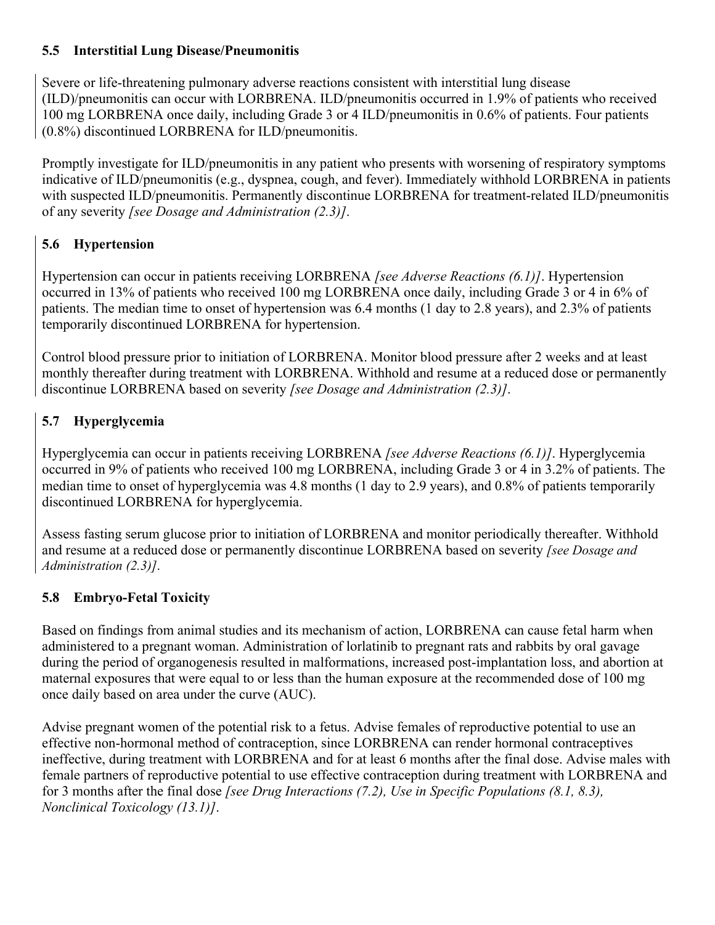## **5.5 Interstitial Lung Disease/Pneumonitis**

Severe or life-threatening pulmonary adverse reactions consistent with interstitial lung disease (ILD)/pneumonitis can occur with LORBRENA. ILD/pneumonitis occurred in 1.9% of patients who received 100 mg LORBRENA once daily, including Grade 3 or 4 ILD/pneumonitis in 0.6% of patients. Four patients (0.8%) discontinued LORBRENA for ILD/pneumonitis.

Promptly investigate for ILD/pneumonitis in any patient who presents with worsening of respiratory symptoms indicative of ILD/pneumonitis (e.g., dyspnea, cough, and fever). Immediately withhold LORBRENA in patients with suspected ILD/pneumonitis. Permanently discontinue LORBRENA for treatment-related ILD/pneumonitis of any severity *[see Dosage and Administration (2.3)]*.

# **5.6 Hypertension**

Hypertension can occur in patients receiving LORBRENA *[see Adverse Reactions (6.1)]*. Hypertension occurred in 13% of patients who received 100 mg LORBRENA once daily, including Grade 3 or 4 in 6% of patients. The median time to onset of hypertension was 6.4 months (1 day to 2.8 years), and 2.3% of patients temporarily discontinued LORBRENA for hypertension.

Control blood pressure prior to initiation of LORBRENA. Monitor blood pressure after 2 weeks and at least monthly thereafter during treatment with LORBRENA. Withhold and resume at a reduced dose or permanently discontinue LORBRENA based on severity *[see Dosage and Administration (2.3)]*.

# **5.7 Hyperglycemia**

Hyperglycemia can occur in patients receiving LORBRENA *[see Adverse Reactions (6.1)]*. Hyperglycemia occurred in 9% of patients who received 100 mg LORBRENA, including Grade 3 or 4 in 3.2% of patients. The median time to onset of hyperglycemia was 4.8 months (1 day to 2.9 years), and 0.8% of patients temporarily discontinued LORBRENA for hyperglycemia.

Assess fasting serum glucose prior to initiation of LORBRENA and monitor periodically thereafter. Withhold and resume at a reduced dose or permanently discontinue LORBRENA based on severity *[see Dosage and Administration (2.3)]*.

# **5.8 Embryo-Fetal Toxicity**

Based on findings from animal studies and its mechanism of action, LORBRENA can cause fetal harm when administered to a pregnant woman. Administration of lorlatinib to pregnant rats and rabbits by oral gavage during the period of organogenesis resulted in malformations, increased post-implantation loss, and abortion at maternal exposures that were equal to or less than the human exposure at the recommended dose of 100 mg once daily based on area under the curve (AUC).

Advise pregnant women of the potential risk to a fetus. Advise females of reproductive potential to use an effective non-hormonal method of contraception, since LORBRENA can render hormonal contraceptives ineffective, during treatment with LORBRENA and for at least 6 months after the final dose. Advise males with female partners of reproductive potential to use effective contraception during treatment with LORBRENA and for 3 months after the final dose *[see Drug Interactions (7.2), Use in Specific Populations (8.1, 8.3), Nonclinical Toxicology (13.1)]*.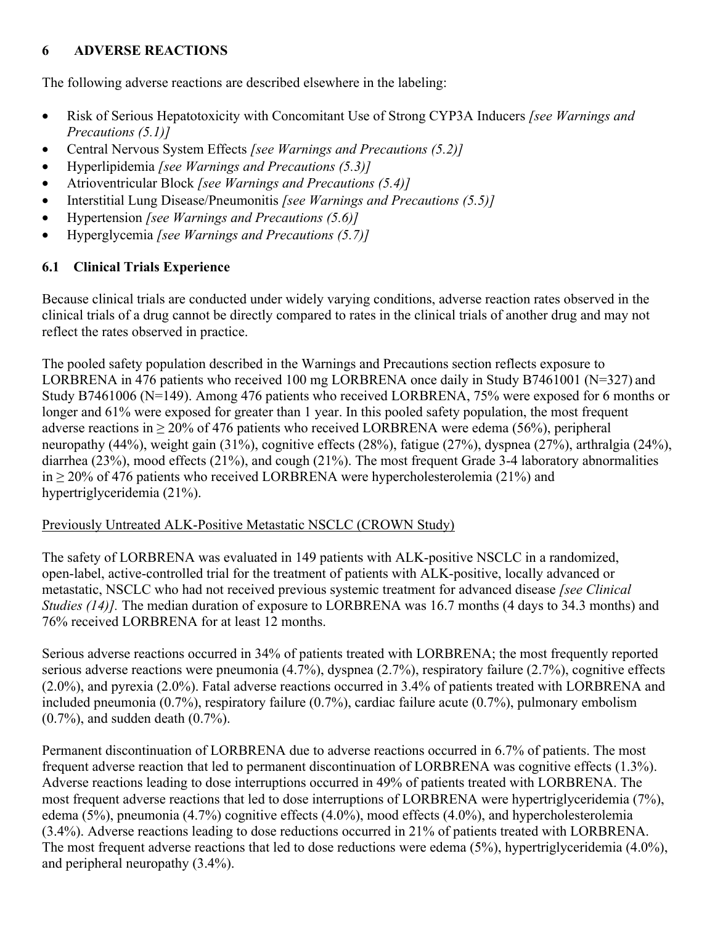## 5B**6 ADVERSE REACTIONS**

The following adverse reactions are described elsewhere in the labeling:

- Risk of Serious Hepatotoxicity with Concomitant Use of Strong CYP3A Inducers *[see Warnings and Precautions (5.1)]*
- Central Nervous System Effects *[see Warnings and Precautions (5.2)]*
- Hyperlipidemia *[see Warnings and Precautions (5.3)]*
- Atrioventricular Block *[see Warnings and Precautions (5.4)]*
- Interstitial Lung Disease/Pneumonitis *[see Warnings and Precautions (5.5)]*
- Hypertension *[see Warnings and Precautions (5.6)]*
- Hyperglycemia *[see Warnings and Precautions (5.7)]*

# **6.1 Clinical Trials Experience**

Because clinical trials are conducted under widely varying conditions, adverse reaction rates observed in the clinical trials of a drug cannot be directly compared to rates in the clinical trials of another drug and may not reflect the rates observed in practice.

The pooled safety population described in the Warnings and Precautions section reflects exposure to LORBRENA in 476 patients who received 100 mg LORBRENA once daily in Study B7461001 (N=327) and Study B7461006 (N=149). Among 476 patients who received LORBRENA, 75% were exposed for 6 months or longer and 61% were exposed for greater than 1 year. In this pooled safety population, the most frequent adverse reactions in  $\geq$  20% of 476 patients who received LORBRENA were edema (56%), peripheral neuropathy (44%), weight gain (31%), cognitive effects (28%), fatigue (27%), dyspnea (27%), arthralgia (24%), diarrhea (23%), mood effects (21%), and cough (21%). The most frequent Grade 3-4 laboratory abnormalities in ≥ 20% of 476 patients who received LORBRENA were hypercholesterolemia (21%) and hypertriglyceridemia (21%).

# Previously Untreated ALK-Positive Metastatic NSCLC (CROWN Study)

The safety of LORBRENA was evaluated in 149 patients with ALK-positive NSCLC in a randomized, open-label, active-controlled trial for the treatment of patients with ALK-positive, locally advanced or metastatic, NSCLC who had not received previous systemic treatment for advanced disease *[see Clinical Studies (14)]*. The median duration of exposure to LORBRENA was 16.7 months (4 days to 34.3 months) and 76% received LORBRENA for at least 12 months.

Serious adverse reactions occurred in 34% of patients treated with LORBRENA; the most frequently reported serious adverse reactions were pneumonia (4.7%), dyspnea (2.7%), respiratory failure (2.7%), cognitive effects (2.0%), and pyrexia (2.0%). Fatal adverse reactions occurred in 3.4% of patients treated with LORBRENA and included pneumonia (0.7%), respiratory failure (0.7%), cardiac failure acute (0.7%), pulmonary embolism (0.7%), and sudden death (0.7%).

Permanent discontinuation of LORBRENA due to adverse reactions occurred in 6.7% of patients. The most frequent adverse reaction that led to permanent discontinuation of LORBRENA was cognitive effects (1.3%). Adverse reactions leading to dose interruptions occurred in 49% of patients treated with LORBRENA. The most frequent adverse reactions that led to dose interruptions of LORBRENA were hypertriglyceridemia (7%), edema (5%), pneumonia (4.7%) cognitive effects (4.0%), mood effects (4.0%), and hypercholesterolemia (3.4%). Adverse reactions leading to dose reductions occurred in 21% of patients treated with LORBRENA. The most frequent adverse reactions that led to dose reductions were edema (5%), hypertriglyceridemia (4.0%), and peripheral neuropathy (3.4%).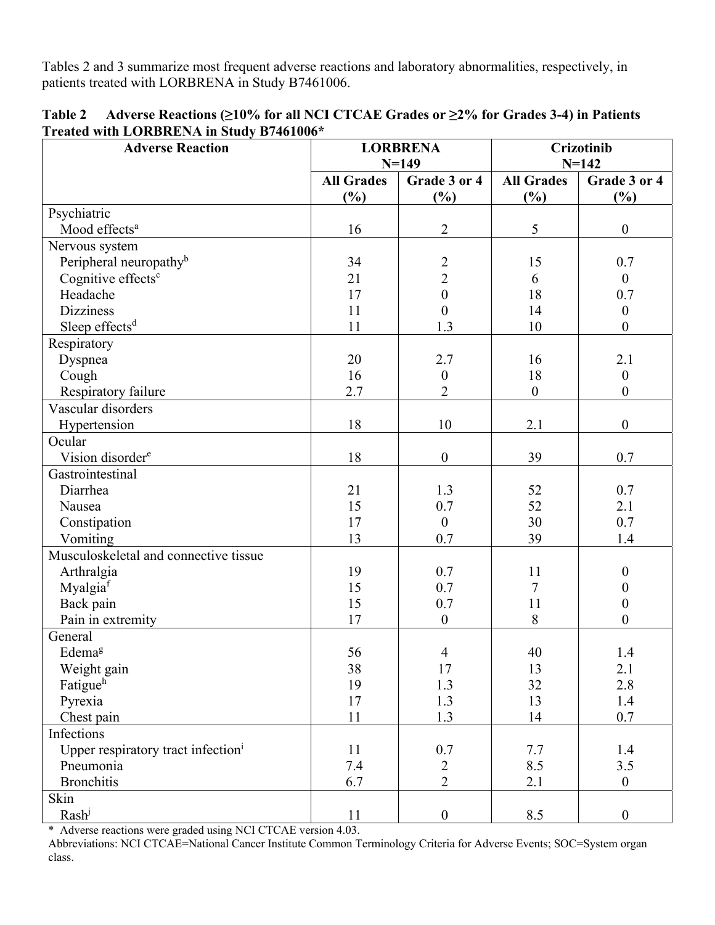Tables 2 and 3 summarize most frequent adverse reactions and laboratory abnormalities, respectively, in patients treated with LORBRENA in Study B7461006.

| <b>Adverse Reaction</b>                        | <b>LORBRENA</b>   |                  | <b>Crizotinib</b> |                  |
|------------------------------------------------|-------------------|------------------|-------------------|------------------|
|                                                | $N = 149$         |                  | $N = 142$         |                  |
|                                                | <b>All Grades</b> | Grade 3 or 4     | <b>All Grades</b> | Grade 3 or 4     |
|                                                | $(\%)$            | (%)              | $(\%)$            | (%)              |
| Psychiatric                                    |                   |                  |                   |                  |
| Mood effects <sup>a</sup>                      | 16                | $\overline{2}$   | 5                 | $\boldsymbol{0}$ |
| Nervous system                                 |                   |                  |                   |                  |
| Peripheral neuropathy <sup>b</sup>             | 34                | $\overline{c}$   | 15                | 0.7              |
| Cognitive effects <sup>c</sup>                 | 21                | $\overline{2}$   | 6                 | $\boldsymbol{0}$ |
| Headache                                       | 17                | $\mathbf{0}$     | 18                | 0.7              |
| <b>Dizziness</b>                               | 11                | $\boldsymbol{0}$ | 14                | $\boldsymbol{0}$ |
| Sleep effects <sup>d</sup>                     | 11                | 1.3              | 10                | $\boldsymbol{0}$ |
| Respiratory                                    |                   |                  |                   |                  |
| Dyspnea                                        | 20                | 2.7              | 16                | 2.1              |
| Cough                                          | 16                | $\boldsymbol{0}$ | 18                | $\boldsymbol{0}$ |
| Respiratory failure                            | 2.7               | $\overline{2}$   | $\boldsymbol{0}$  | $\boldsymbol{0}$ |
| Vascular disorders                             |                   |                  |                   |                  |
| Hypertension                                   | 18                | 10               | 2.1               | $\boldsymbol{0}$ |
| Ocular                                         |                   |                  |                   |                  |
| Vision disorder <sup>e</sup>                   | 18                | $\boldsymbol{0}$ | 39                | 0.7              |
| Gastrointestinal                               |                   |                  |                   |                  |
| Diarrhea                                       | 21                | 1.3              | 52                | 0.7              |
| Nausea                                         | 15                | 0.7              | 52                | 2.1              |
| Constipation                                   | 17                | $\overline{0}$   | 30                | 0.7              |
| Vomiting                                       | 13                | 0.7              | 39                | 1.4              |
| Musculoskeletal and connective tissue          |                   |                  |                   |                  |
| Arthralgia                                     | 19                | 0.7              | 11                | $\boldsymbol{0}$ |
| Myalgia <sup>f</sup>                           | 15                | 0.7              | 7                 | $\boldsymbol{0}$ |
| Back pain                                      | 15                | 0.7              | 11                | $\boldsymbol{0}$ |
| Pain in extremity                              | 17                | $\overline{0}$   | 8                 | $\theta$         |
| General                                        |                   |                  |                   |                  |
| Edemag                                         | 56                | $\overline{4}$   | 40                | 1.4              |
| Weight gain                                    | 38                | 17               | 13                | 2.1              |
| Fatigueh                                       | 19                | 1.3              | 32                | $2.8\,$          |
| Pyrexia                                        | 17                | 1.3              | 13                | 1.4              |
| Chest pain                                     | 11                | 1.3              | 14                | $0.7\,$          |
| Infections                                     |                   |                  |                   |                  |
| Upper respiratory tract infection <sup>i</sup> | 11                | 0.7              | 7.7               | 1.4              |
| Pneumonia                                      | 7.4               | $\frac{2}{2}$    | 8.5               | 3.5              |
| <b>Bronchitis</b>                              | 6.7               |                  | 2.1               | $\overline{0}$   |
| Skin                                           |                   |                  |                   |                  |
| Rash <sup>j</sup>                              | 11                | $\boldsymbol{0}$ | 8.5               | $\boldsymbol{0}$ |

| <b>Table 2</b> | Adverse Reactions ( $\geq$ 10% for all NCI CTCAE Grades or $\geq$ 2% for Grades 3-4) in Patients |  |  |
|----------------|--------------------------------------------------------------------------------------------------|--|--|
|                | Treated with LORBRENA in Study B7461006*                                                         |  |  |

\* Adverse reactions were graded using NCI CTCAE version 4.03.

Abbreviations: NCI CTCAE=National Cancer Institute Common Terminology Criteria for Adverse Events; SOC=System organ class.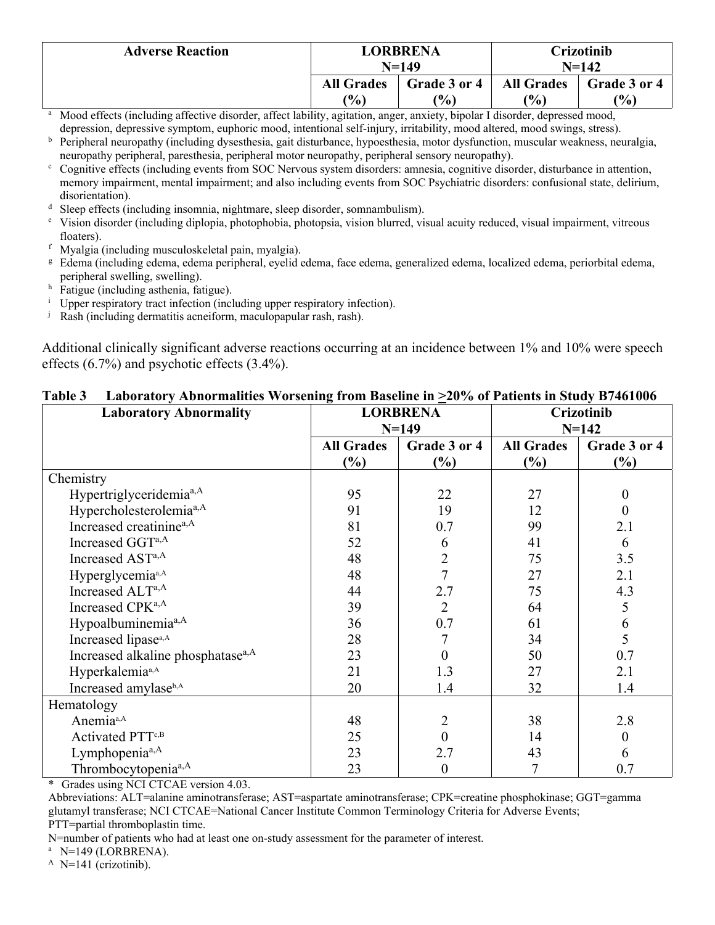| <b>Adverse Reaction</b> | <b>LORBRENA</b><br>$N=149$ |               |                   | Crizotinib<br>$N = 142$ |
|-------------------------|----------------------------|---------------|-------------------|-------------------------|
|                         | <b>All Grades</b>          | Grade 3 or 4  | <b>All Grades</b> | Grade 3 or 4            |
|                         | (%)                        | $\frac{1}{2}$ | (9/0)             | $\frac{10}{6}$          |

- a Mood effects (including affective disorder, affect lability, agitation, anger, anxiety, bipolar I disorder, depressed mood, depression, depressive symptom, euphoric mood, intentional self-injury, irritability, mood altered, mood swings, stress).
- b Peripheral neuropathy (including dysesthesia, gait disturbance, hypoesthesia, motor dysfunction, muscular weakness, neuralgia, neuropathy peripheral, paresthesia, peripheral motor neuropathy, peripheral sensory neuropathy).
- Cognitive effects (including events from SOC Nervous system disorders: amnesia, cognitive disorder, disturbance in attention, memory impairment, mental impairment; and also including events from SOC Psychiatric disorders: confusional state, delirium, disorientation).
- <sup>d</sup> Sleep effects (including insomnia, nightmare, sleep disorder, somnambulism).
- $\epsilon$  Vision disorder (including diplopia, photophobia, photopsia, vision blurred, visual acuity reduced, visual impairment, vitreous floaters).
- f Myalgia (including musculoskeletal pain, myalgia).
- g Edema (including edema, edema peripheral, eyelid edema, face edema, generalized edema, localized edema, periorbital edema, peripheral swelling, swelling).
- <sup>h</sup> Fatigue (including asthenia, fatigue).
- <sup>i</sup> Upper respiratory tract infection (including upper respiratory infection).
- <sup>j</sup> Rash (including dermatitis acneiform, maculopapular rash, rash).

Additional clinically significant adverse reactions occurring at an incidence between 1% and 10% were speech effects (6.7%) and psychotic effects (3.4%).

| <b>Laboratory Abnormality</b>                 | <b>LORBRENA</b>   |                  | <b>Crizotinib</b> |                |
|-----------------------------------------------|-------------------|------------------|-------------------|----------------|
|                                               | $N = 149$         |                  | $N = 142$         |                |
|                                               | <b>All Grades</b> | Grade 3 or 4     | <b>All Grades</b> | Grade 3 or 4   |
|                                               | $\frac{6}{6}$     | $\frac{6}{6}$    | $(\%)$            | $\frac{6}{6}$  |
| Chemistry                                     |                   |                  |                   |                |
| Hypertriglyceridemia <sup>a,A</sup>           | 95                | 22               | 27                | $\overline{0}$ |
| Hypercholesterolemia <sup>a,A</sup>           | 91                | 19               | 12                | $\theta$       |
| Increased creatinine <sup>a,A</sup>           | 81                | 0.7              | 99                | 2.1            |
| Increased GGTa,A                              | 52                | 6                | 41                | 6              |
| Increased AST <sup>a,A</sup>                  | 48                | $\overline{2}$   | 75                | 3.5            |
| Hyperglycemia <sup>a,A</sup>                  | 48                | 7                | 27                | 2.1            |
| Increased ALTa,A                              | 44                | 2.7              | 75                | 4.3            |
| Increased CPK <sup>a,A</sup>                  | 39                | 2                | 64                | 5              |
| Hypoalbuminemia <sup>a,A</sup>                | 36                | 0.7              | 61                | 6              |
| Increased lipase <sup>a,A</sup>               | 28                |                  | 34                | 5              |
| Increased alkaline phosphatase <sup>a,A</sup> | 23                |                  | 50                | 0.7            |
| Hyperkalemia <sup>a,A</sup>                   | 21                | 1.3              | 27                | 2.1            |
| Increased amylaseb,A                          | 20                | 1.4              | 32                | 1.4            |
| Hematology                                    |                   |                  |                   |                |
| Anemia <sup>a,A</sup>                         | 48                | 2                | 38                | 2.8            |
| Activated PTT <sup>c,B</sup>                  | 25                |                  | 14                | $\overline{0}$ |
| Lymphopenia <sup>a,A</sup>                    | 23                | 2.7              | 43                | 6              |
| Thrombocytopenia <sup>a,A</sup>               | 23                | $\boldsymbol{0}$ | 7                 | 0.7            |

#### **Table 3 Laboratory Abnormalities Worsening from Baseline in >20% of Patients in Study B7461006**

\* Grades using NCI CTCAE version 4.03.

Abbreviations: ALT=alanine aminotransferase; AST=aspartate aminotransferase; CPK=creatine phosphokinase; GGT=gamma glutamyl transferase; NCI CTCAE=National Cancer Institute Common Terminology Criteria for Adverse Events; PTT=partial thromboplastin time.

N=number of patients who had at least one on-study assessment for the parameter of interest.<br><sup>a</sup> N=149 (LORBRENA).<br><sup>A</sup> N=141 (crizotinib).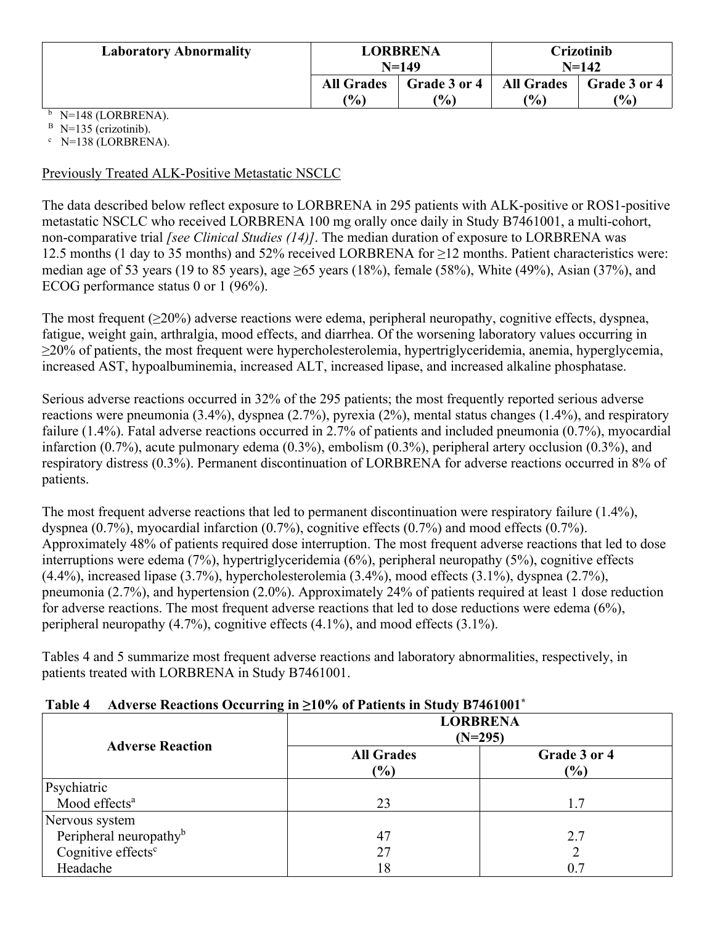| <b>Laboratory Abnormality</b> | LORBRENA<br>$N = 149$ |              |                   | <b>Crizotinib</b><br>$N = 142$ |
|-------------------------------|-----------------------|--------------|-------------------|--------------------------------|
|                               | <b>All Grades</b>     | Grade 3 or 4 | <b>All Grades</b> | Grade 3 or 4                   |
|                               | (%)                   | (%)          | $\frac{9}{6}$     | (%)                            |

 $^{\rm b}$  N=148 (LORBRENA).

 $B$  N=135 (crizotinib).  $\degree$  N=138 (LORBRENA).

#### Previously Treated ALK-Positive Metastatic NSCLC

The data described below reflect exposure to LORBRENA in 295 patients with ALK-positive or ROS1-positive metastatic NSCLC who received LORBRENA 100 mg orally once daily in Study B7461001, a multi-cohort, non-comparative trial *[see Clinical Studies (14)]*. The median duration of exposure to LORBRENA was 12.5 months (1 day to 35 months) and 52% received LORBRENA for ≥12 months. Patient characteristics were: median age of 53 years (19 to 85 years), age  $\geq 65$  years (18%), female (58%), White (49%), Asian (37%), and ECOG performance status 0 or 1 (96%).

The most frequent  $(\geq 20\%)$  adverse reactions were edema, peripheral neuropathy, cognitive effects, dyspnea, fatigue, weight gain, arthralgia, mood effects, and diarrhea. Of the worsening laboratory values occurring in ≥20% of patients, the most frequent were hypercholesterolemia, hypertriglyceridemia, anemia, hyperglycemia, increased AST, hypoalbuminemia, increased ALT, increased lipase, and increased alkaline phosphatase.

Serious adverse reactions occurred in 32% of the 295 patients; the most frequently reported serious adverse reactions were pneumonia (3.4%), dyspnea (2.7%), pyrexia (2%), mental status changes (1.4%), and respiratory failure (1.4%). Fatal adverse reactions occurred in 2.7% of patients and included pneumonia (0.7%), myocardial infarction (0.7%), acute pulmonary edema (0.3%), embolism (0.3%), peripheral artery occlusion (0.3%), and respiratory distress (0.3%). Permanent discontinuation of LORBRENA for adverse reactions occurred in 8% of patients.

The most frequent adverse reactions that led to permanent discontinuation were respiratory failure (1.4%), dyspnea (0.7%), myocardial infarction (0.7%), cognitive effects (0.7%) and mood effects (0.7%). Approximately 48% of patients required dose interruption. The most frequent adverse reactions that led to dose interruptions were edema (7%), hypertriglyceridemia (6%), peripheral neuropathy (5%), cognitive effects (4.4%), increased lipase (3.7%), hypercholesterolemia (3.4%), mood effects (3.1%), dyspnea (2.7%), pneumonia (2.7%), and hypertension (2.0%). Approximately 24% of patients required at least 1 dose reduction for adverse reactions. The most frequent adverse reactions that led to dose reductions were edema (6%), peripheral neuropathy (4.7%), cognitive effects (4.1%), and mood effects (3.1%).

Tables 4 and 5 summarize most frequent adverse reactions and laboratory abnormalities, respectively, in patients treated with LORBRENA in Study B7461001.

#### **Table 4 Adverse Reactions Occurring in ≥10% of Patients in Study B7461001\***

| $\sim$                             | <b>LORBRENA</b><br>$(N=295)$ |                               |  |
|------------------------------------|------------------------------|-------------------------------|--|
| <b>Adverse Reaction</b>            | <b>All Grades</b><br>(%)     | Grade 3 or 4<br>$\frac{1}{2}$ |  |
| Psychiatric                        |                              |                               |  |
| Mood effects <sup>a</sup>          | 23                           | 1.7                           |  |
| Nervous system                     |                              |                               |  |
| Peripheral neuropathy <sup>b</sup> | 47                           | 2.7                           |  |
| Cognitive effects <sup>c</sup>     | 27                           |                               |  |
| Headache                           | 18                           |                               |  |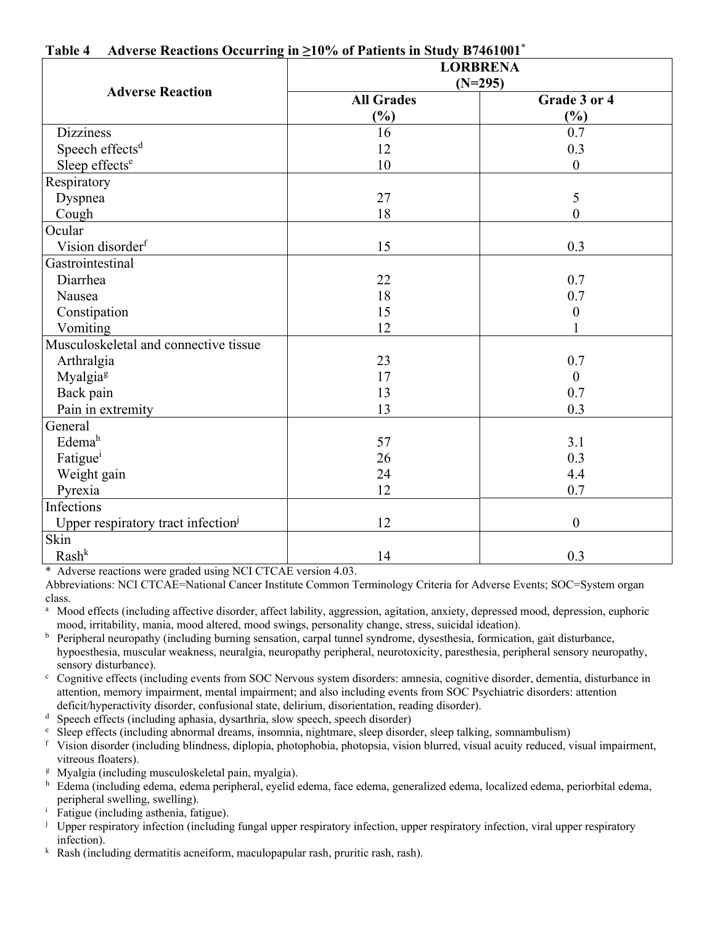| Travelse reactions occurring<br>$10 - 10$ /0 01 1 attents in staat b/ 101001 | <b>LORBRENA</b><br>$(N=295)$ |                  |  |
|------------------------------------------------------------------------------|------------------------------|------------------|--|
| <b>Adverse Reaction</b>                                                      | <b>All Grades</b>            | Grade 3 or 4     |  |
|                                                                              | $\frac{6}{2}$                | (%)              |  |
| <b>Dizziness</b>                                                             | 16                           | 0.7              |  |
| Speech effects <sup>d</sup>                                                  | 12                           | 0.3              |  |
| Sleep effects <sup>e</sup>                                                   | 10                           | $\overline{0}$   |  |
| Respiratory                                                                  |                              |                  |  |
| Dyspnea                                                                      | 27                           | 5                |  |
| Cough                                                                        | 18                           | $\theta$         |  |
| Ocular                                                                       |                              |                  |  |
| Vision disorder <sup>f</sup>                                                 | 15                           | 0.3              |  |
| Gastrointestinal                                                             |                              |                  |  |
| Diarrhea                                                                     | 22                           | 0.7              |  |
| Nausea                                                                       | 18                           | 0.7              |  |
| Constipation                                                                 | 15                           | $\boldsymbol{0}$ |  |
| Vomiting                                                                     | 12                           |                  |  |
| Musculoskeletal and connective tissue                                        |                              |                  |  |
| Arthralgia                                                                   | 23                           | 0.7              |  |
| Myalgia <sup>g</sup>                                                         | 17                           | $\theta$         |  |
| Back pain                                                                    | 13                           | 0.7              |  |
| Pain in extremity                                                            | 13                           | 0.3              |  |
| General                                                                      |                              |                  |  |
| Edema <sup>h</sup>                                                           | 57                           | 3.1              |  |
| Fatigue <sup>i</sup>                                                         | 26                           | 0.3              |  |
| Weight gain                                                                  | 24                           | 4.4              |  |
| Pyrexia                                                                      | 12                           | 0.7              |  |
| Infections                                                                   |                              |                  |  |
| Upper respiratory tract infection <sup>1</sup>                               | 12                           | $\boldsymbol{0}$ |  |
| Skin                                                                         |                              |                  |  |
| $Rash^k$                                                                     | 14                           | 0.3              |  |

#### **Table 4 Adverse Reactions Occurring in ≥10% of Patients in Study B7461001\***

\* Adverse reactions were graded using NCI CTCAE version 4.03.

Abbreviations: NCI CTCAE=National Cancer Institute Common Terminology Criteria for Adverse Events; SOC=System organ class.

a Mood effects (including affective disorder, affect lability, aggression, agitation, anxiety, depressed mood, depression, euphoric mood, irritability, mania, mood altered, mood swings, personality change, stress, suicidal ideation).

- <sup>b</sup> Peripheral neuropathy (including burning sensation, carpal tunnel syndrome, dysesthesia, formication, gait disturbance, hypoesthesia, muscular weakness, neuralgia, neuropathy peripheral, neurotoxicity, paresthesia, peripheral sensory neuropathy, sensory disturbance).<br><sup>c</sup> Coonitive effects (inc.
- Cognitive effects (including events from SOC Nervous system disorders: amnesia, cognitive disorder, dementia, disturbance in attention, memory impairment, mental impairment; and also including events from SOC Psychiatric disorders: attention deficit/hyperactivity disorder, confusional state, delirium, disorientation, reading disorder).

d Speech effects (including aphasia, dysarthria, slow speech, speech disorder)

- Sleep effects (including abnormal dreams, insomnia, nightmare, sleep disorder, sleep talking, somnambulism)
- f Vision disorder (including blindness, diplopia, photophobia, photopsia, vision blurred, visual acuity reduced, visual impairment,
- vitreous floaters).<br><sup>g</sup> Myalgia (including musculoskeletal pain, myalgia).
- h Edema (including edema, edema peripheral, eyelid edema, face edema, generalized edema, localized edema, periorbital edema, peripheral swelling, swelling).
- <sup>i</sup> Fatigue (including asthenia, fatigue).
- $\mu$  Upper respiratory infection (including fungal upper respiratory infection, upper respiratory infection, viral upper respiratory infection).
- k Rash (including dermatitis acneiform, maculopapular rash, pruritic rash, rash).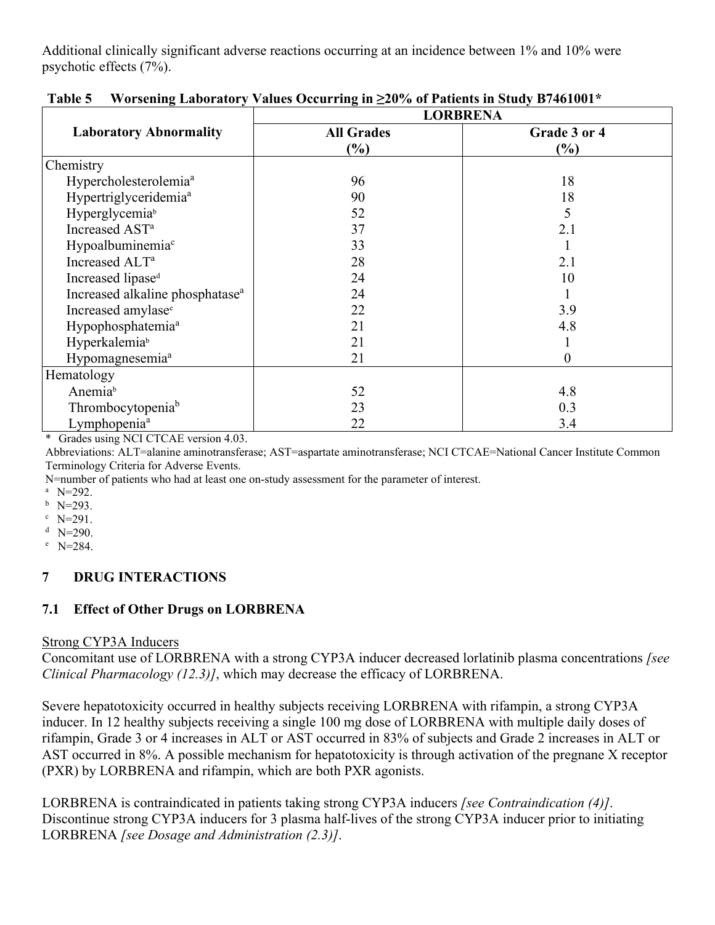Additional clinically significant adverse reactions occurring at an incidence between 1% and 10% were psychotic effects (7%).

|                                             | <b>LORBRENA</b>   |              |  |
|---------------------------------------------|-------------------|--------------|--|
| <b>Laboratory Abnormality</b>               | <b>All Grades</b> | Grade 3 or 4 |  |
|                                             | $(\%)$            | (%)          |  |
| Chemistry                                   |                   |              |  |
| Hypercholesterolemia <sup>a</sup>           | 96                | 18           |  |
| Hypertriglyceridemia <sup>a</sup>           | 90                | 18           |  |
| Hyperglycemiab                              | 52                | 5            |  |
| Increased AST <sup>a</sup>                  | 37                | 2.1          |  |
| Hypoalbuminemia <sup>c</sup>                | 33                |              |  |
| Increased ALT <sup>a</sup>                  | 28                | 2.1          |  |
| Increased lipase <sup>d</sup>               | 24                | 10           |  |
| Increased alkaline phosphatase <sup>a</sup> | 24                |              |  |
| Increased amylase <sup>e</sup>              | 22                | 3.9          |  |
| Hypophosphatemia <sup>a</sup>               | 21                | 4.8          |  |
| Hyperkalemiab                               | 21                |              |  |
| Hypomagnesemia <sup>a</sup>                 | 21                | 0            |  |
| Hematology                                  |                   |              |  |
| Anemiab                                     | 52                | 4.8          |  |
| Thrombocytopenia <sup>b</sup>               | 23                | 0.3          |  |
| Lymphopenia <sup>a</sup>                    | 22                | 3.4          |  |

**Table 5 Worsening Laboratory Values Occurring in ≥20% of Patients in Study B7461001\*** 

\* Grades using NCI CTCAE version 4.03.

Abbreviations: ALT=alanine aminotransferase; AST=aspartate aminotransferase; NCI CTCAE=National Cancer Institute Common Terminology Criteria for Adverse Events.

N=number of patients who had at least one on-study assessment for the parameter of interest.<br><sup>a</sup> N=292.

 $b$  N=293.

 $^{\circ}$  N=291.

 $^{\rm d}$  N=290.

<sup>e</sup> N=284.

## **7 DRUG INTERACTIONS**

## **7.1 Effect of Other Drugs on LORBRENA**

#### Strong CYP3A Inducers

Concomitant use of LORBRENA with a strong CYP3A inducer decreased lorlatinib plasma concentrations *[see Clinical Pharmacology (12.3)]*, which may decrease the efficacy of LORBRENA.

Severe hepatotoxicity occurred in healthy subjects receiving LORBRENA with rifampin, a strong CYP3A inducer. In 12 healthy subjects receiving a single 100 mg dose of LORBRENA with multiple daily doses of rifampin, Grade 3 or 4 increases in ALT or AST occurred in 83% of subjects and Grade 2 increases in ALT or AST occurred in 8%. A possible mechanism for hepatotoxicity is through activation of the pregnane X receptor (PXR) by LORBRENA and rifampin, which are both PXR agonists.

LORBRENA is contraindicated in patients taking strong CYP3A inducers *[see Contraindication (4)]*. Discontinue strong CYP3A inducers for 3 plasma half-lives of the strong CYP3A inducer prior to initiating LORBRENA *[see Dosage and Administration (2.3)]*.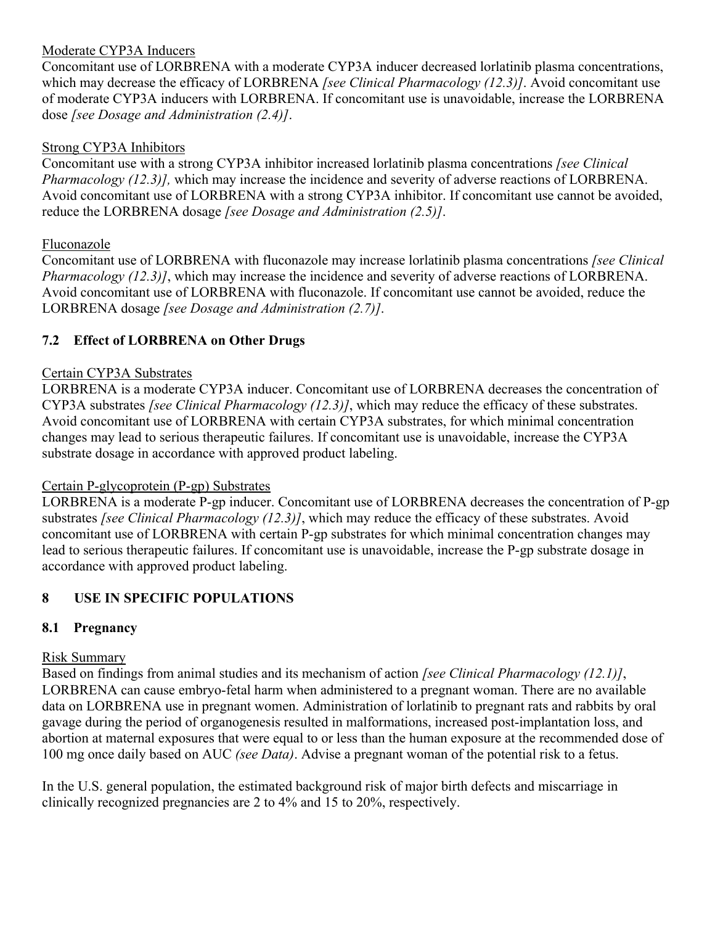## Moderate CYP3A Inducers

Concomitant use of LORBRENA with a moderate CYP3A inducer decreased lorlatinib plasma concentrations, which may decrease the efficacy of LORBRENA *[see Clinical Pharmacology (12.3)]*. Avoid concomitant use of moderate CYP3A inducers with LORBRENA. If concomitant use is unavoidable, increase the LORBRENA dose *[see Dosage and Administration (2.4)]*.

#### Strong CYP3A Inhibitors

Concomitant use with a strong CYP3A inhibitor increased lorlatinib plasma concentrations *[see Clinical Pharmacology (12.3)],* which may increase the incidence and severity of adverse reactions of LORBRENA. Avoid concomitant use of LORBRENA with a strong CYP3A inhibitor. If concomitant use cannot be avoided, reduce the LORBRENA dosage *[see Dosage and Administration (2.5)]*.

#### Fluconazole

Concomitant use of LORBRENA with fluconazole may increase lorlatinib plasma concentrations *[see Clinical Pharmacology (12.3)]*, which may increase the incidence and severity of adverse reactions of LORBRENA. Avoid concomitant use of LORBRENA with fluconazole. If concomitant use cannot be avoided, reduce the LORBRENA dosage *[see Dosage and Administration (2.7)]*.

## **7.2 Effect of LORBRENA on Other Drugs**

#### Certain CYP3A Substrates

LORBRENA is a moderate CYP3A inducer. Concomitant use of LORBRENA decreases the concentration of CYP3A substrates *[see Clinical Pharmacology (12.3)]*, which may reduce the efficacy of these substrates. Avoid concomitant use of LORBRENA with certain CYP3A substrates, for which minimal concentration changes may lead to serious therapeutic failures. If concomitant use is unavoidable, increase the CYP3A substrate dosage in accordance with approved product labeling.

## Certain P-glycoprotein (P-gp) Substrates

LORBRENA is a moderate P-gp inducer. Concomitant use of LORBRENA decreases the concentration of P-gp substrates *[see Clinical Pharmacology (12.3)]*, which may reduce the efficacy of these substrates. Avoid concomitant use of LORBRENA with certain P-gp substrates for which minimal concentration changes may lead to serious therapeutic failures. If concomitant use is unavoidable, increase the P-gp substrate dosage in accordance with approved product labeling.

## 8 USE IN SPECIFIC POPULATIONS

## **8.1 Pregnancy**

#### Risk Summary

Based on findings from animal studies and its mechanism of action *[see Clinical Pharmacology (12.1)]*, LORBRENA can cause embryo-fetal harm when administered to a pregnant woman. There are no available data on LORBRENA use in pregnant women. Administration of lorlatinib to pregnant rats and rabbits by oral gavage during the period of organogenesis resulted in malformations, increased post-implantation loss, and abortion at maternal exposures that were equal to or less than the human exposure at the recommended dose of 100 mg once daily based on AUC *(see Data)*. Advise a pregnant woman of the potential risk to a fetus.

In the U.S. general population, the estimated background risk of major birth defects and miscarriage in clinically recognized pregnancies are 2 to 4% and 15 to 20%, respectively.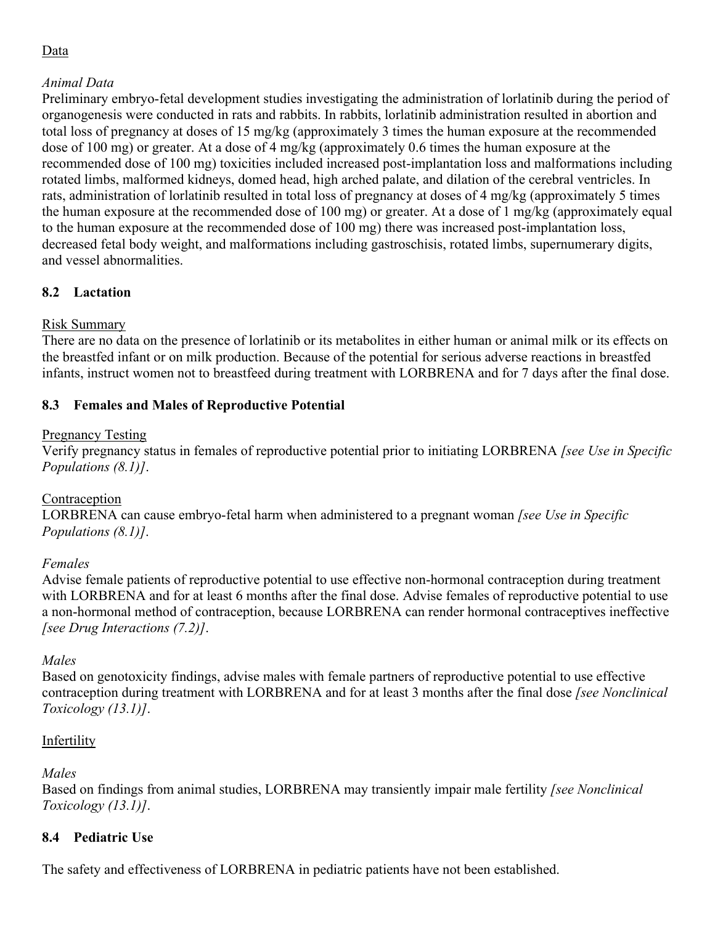## Data

## *Animal Data*

Preliminary embryo-fetal development studies investigating the administration of lorlatinib during the period of organogenesis were conducted in rats and rabbits. In rabbits, lorlatinib administration resulted in abortion and total loss of pregnancy at doses of 15 mg/kg (approximately 3 times the human exposure at the recommended dose of 100 mg) or greater. At a dose of 4 mg/kg (approximately 0.6 times the human exposure at the recommended dose of 100 mg) toxicities included increased post-implantation loss and malformations including rotated limbs, malformed kidneys, domed head, high arched palate, and dilation of the cerebral ventricles. In rats, administration of lorlatinib resulted in total loss of pregnancy at doses of 4 mg/kg (approximately 5 times the human exposure at the recommended dose of 100 mg) or greater. At a dose of 1 mg/kg (approximately equal to the human exposure at the recommended dose of 100 mg) there was increased post-implantation loss, decreased fetal body weight, and malformations including gastroschisis, rotated limbs, supernumerary digits, and vessel abnormalities.

# **8.2 Lactation**

## Risk Summary

There are no data on the presence of lorlatinib or its metabolites in either human or animal milk or its effects on the breastfed infant or on milk production. Because of the potential for serious adverse reactions in breastfed infants, instruct women not to breastfeed during treatment with LORBRENA and for 7 days after the final dose.

## **8.3 Females and Males of Reproductive Potential**

#### Pregnancy Testing

Verify pregnancy status in females of reproductive potential prior to initiating LORBRENA *[see Use in Specific Populations (8.1)]*.

## **Contraception**

LORBRENA can cause embryo-fetal harm when administered to a pregnant woman *[see Use in Specific Populations (8.1)]*.

## *Females*

Advise female patients of reproductive potential to use effective non-hormonal contraception during treatment with LORBRENA and for at least 6 months after the final dose. Advise females of reproductive potential to use a non-hormonal method of contraception, because LORBRENA can render hormonal contraceptives ineffective *[see Drug Interactions (7.2)]*.

## *Males*

Based on genotoxicity findings, advise males with female partners of reproductive potential to use effective contraception during treatment with LORBRENA and for at least 3 months after the final dose *[see Nonclinical Toxicology (13.1)]*.

## Infertility

## *Males*

Based on findings from animal studies, LORBRENA may transiently impair male fertility *[see Nonclinical Toxicology (13.1)]*.

## **8.4 Pediatric Use**

The safety and effectiveness of LORBRENA in pediatric patients have not been established.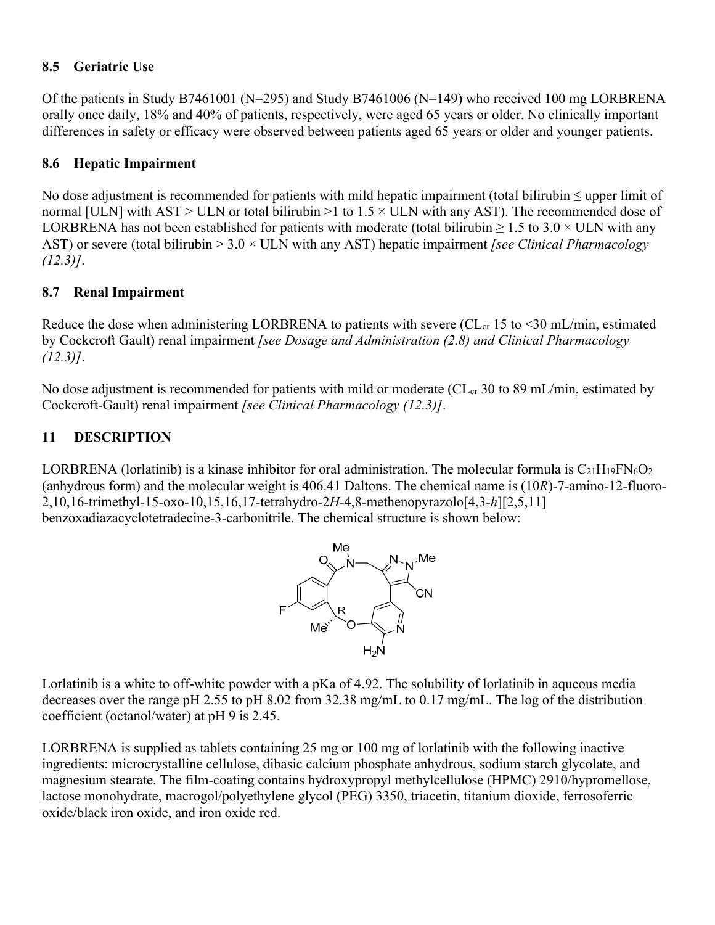#### **8.5 Geriatric Use**

Of the patients in Study B7461001 (N=295) and Study B7461006 (N=149) who received 100 mg LORBRENA orally once daily, 18% and 40% of patients, respectively, were aged 65 years or older. No clinically important differences in safety or efficacy were observed between patients aged 65 years or older and younger patients.

## **8.6 Hepatic Impairment**

No dose adjustment is recommended for patients with mild hepatic impairment (total bilirubin ≤ upper limit of normal [ULN] with AST > ULN or total bilirubin >1 to  $1.5 \times$  ULN with any AST). The recommended dose of LORBRENA has not been established for patients with moderate (total bilirubin  $\geq 1.5$  to 3.0  $\times$  ULN with any AST) or severe (total bilirubin > 3.0 × ULN with any AST) hepatic impairment *[see Clinical Pharmacology (12.3)]*.

## **8.7 Renal Impairment**

Reduce the dose when administering LORBRENA to patients with severe (CL $_{cr}$  15 to <30 mL/min, estimated by Cockcroft Gault) renal impairment *[see Dosage and Administration (2.8) and Clinical Pharmacology (12.3)]*.

No dose adjustment is recommended for patients with mild or moderate ( $CL<sub>cr</sub>$  30 to 89 mL/min, estimated by Cockcroft-Gault) renal impairment *[see Clinical Pharmacology (12.3)]*.

## **11 DESCRIPTION**

LORBRENA (lorlatinib) is a kinase inhibitor for oral administration. The molecular formula is  $C_{21}H_{19}FN_6O_2$ (anhydrous form) and the molecular weight is 406.41 Daltons. The chemical name is (10*R*)-7-amino-12-fluoro-2,10,16-trimethyl-15-oxo-10,15,16,17-tetrahydro-2*H*-4,8-methenopyrazolo[4,3-*h*][2,5,11] benzoxadiazacyclotetradecine-3-carbonitrile. The chemical structure is shown below:



Lorlatinib is a white to off-white powder with a pKa of 4.92. The solubility of lorlatinib in aqueous media decreases over the range pH 2.55 to pH 8.02 from 32.38 mg/mL to 0.17 mg/mL. The log of the distribution coefficient (octanol/water) at pH 9 is 2.45.

LORBRENA is supplied as tablets containing 25 mg or 100 mg of lorlatinib with the following inactive ingredients: microcrystalline cellulose, dibasic calcium phosphate anhydrous, sodium starch glycolate, and magnesium stearate. The film-coating contains hydroxypropyl methylcellulose (HPMC) 2910/hypromellose, lactose monohydrate, macrogol/polyethylene glycol (PEG) 3350, triacetin, titanium dioxide, ferrosoferric oxide/black iron oxide, and iron oxide red.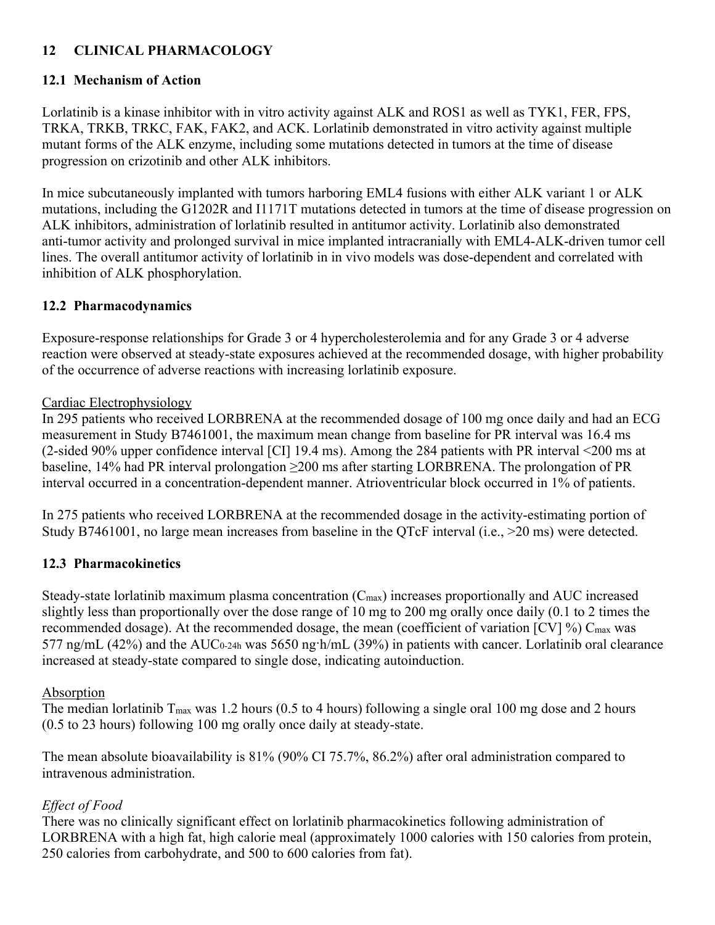## 8B**12 CLINICAL PHARMACOLOGY**

## **12.1 Mechanism of Action**

Lorlatinib is a kinase inhibitor with in vitro activity against ALK and ROS1 as well as TYK1, FER, FPS, TRKA, TRKB, TRKC, FAK, FAK2, and ACK. Lorlatinib demonstrated in vitro activity against multiple mutant forms of the ALK enzyme, including some mutations detected in tumors at the time of disease progression on crizotinib and other ALK inhibitors.

In mice subcutaneously implanted with tumors harboring EML4 fusions with either ALK variant 1 or ALK mutations, including the G1202R and I1171T mutations detected in tumors at the time of disease progression on ALK inhibitors, administration of lorlatinib resulted in antitumor activity. Lorlatinib also demonstrated anti-tumor activity and prolonged survival in mice implanted intracranially with EML4-ALK-driven tumor cell lines. The overall antitumor activity of lorlatinib in in vivo models was dose-dependent and correlated with inhibition of ALK phosphorylation.

## **12.2 Pharmacodynamics**

Exposure-response relationships for Grade 3 or 4 hypercholesterolemia and for any Grade 3 or 4 adverse reaction were observed at steady-state exposures achieved at the recommended dosage, with higher probability of the occurrence of adverse reactions with increasing lorlatinib exposure.

#### Cardiac Electrophysiology

In 295 patients who received LORBRENA at the recommended dosage of 100 mg once daily and had an ECG measurement in Study B7461001, the maximum mean change from baseline for PR interval was 16.4 ms (2-sided 90% upper confidence interval [CI] 19.4 ms). Among the 284 patients with PR interval <200 ms at baseline, 14% had PR interval prolongation ≥200 ms after starting LORBRENA. The prolongation of PR interval occurred in a concentration-dependent manner. Atrioventricular block occurred in 1% of patients.

In 275 patients who received LORBRENA at the recommended dosage in the activity-estimating portion of Study B7461001, no large mean increases from baseline in the QTcF interval (i.e., >20 ms) were detected.

## **12.3 Pharmacokinetics**

Steady-state lorlatinib maximum plasma concentration  $(C_{\text{max}})$  increases proportionally and AUC increased slightly less than proportionally over the dose range of 10 mg to 200 mg orally once daily (0.1 to 2 times the recommended dosage). At the recommended dosage, the mean (coefficient of variation  $[CV]$ %)  $C_{\text{max}}$  was 577 ng/mL (42%) and the AUC<sub>0-24h</sub> was 5650 ng·h/mL (39%) in patients with cancer. Lorlatinib oral clearance increased at steady-state compared to single dose, indicating autoinduction.

## Absorption

The median lorlatinib  $T_{\text{max}}$  was 1.2 hours (0.5 to 4 hours) following a single oral 100 mg dose and 2 hours (0.5 to 23 hours) following 100 mg orally once daily at steady-state.

The mean absolute bioavailability is 81% (90% CI 75.7%, 86.2%) after oral administration compared to intravenous administration.

# *Effect of Food*

There was no clinically significant effect on lorlatinib pharmacokinetics following administration of LORBRENA with a high fat, high calorie meal (approximately 1000 calories with 150 calories from protein, 250 calories from carbohydrate, and 500 to 600 calories from fat).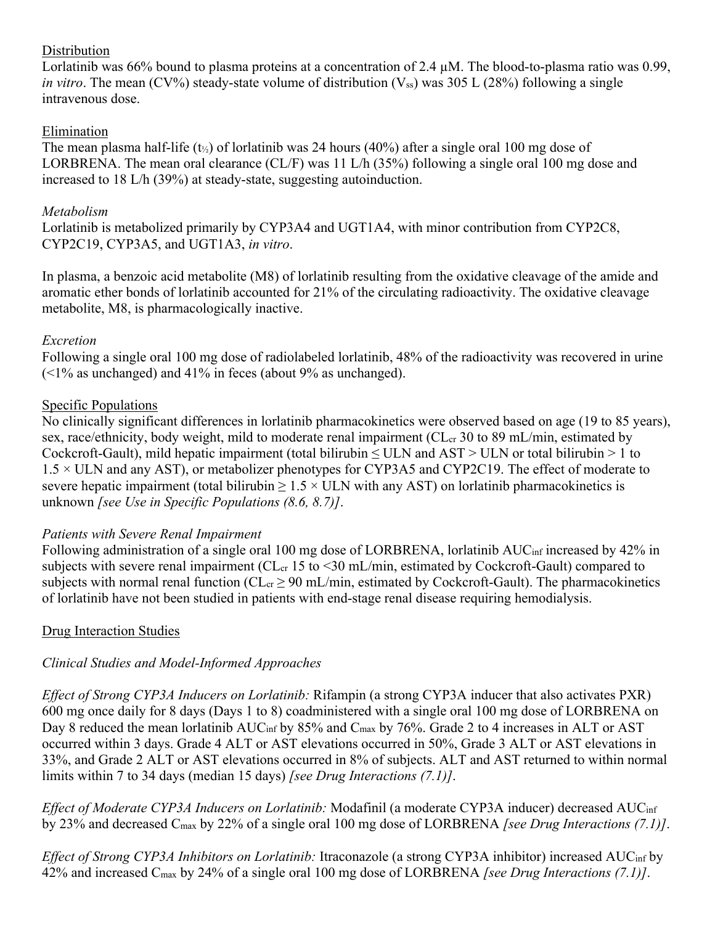#### Distribution

Lorlatinib was 66% bound to plasma proteins at a concentration of 2.4 µM. The blood-to-plasma ratio was 0.99, *in vitro*. The mean (CV%) steady-state volume of distribution ( $V_{ss}$ ) was 305 L (28%) following a single intravenous dose.

## Elimination

The mean plasma half-life ( $t_{\frac{1}{2}}$ ) of lorlatinib was 24 hours (40%) after a single oral 100 mg dose of LORBRENA. The mean oral clearance (CL/F) was 11 L/h (35%) following a single oral 100 mg dose and increased to 18 L/h (39%) at steady-state, suggesting autoinduction.

## *Metabolism*

Lorlatinib is metabolized primarily by CYP3A4 and UGT1A4, with minor contribution from CYP2C8, CYP2C19, CYP3A5, and UGT1A3, *in vitro*.

In plasma, a benzoic acid metabolite (M8) of lorlatinib resulting from the oxidative cleavage of the amide and aromatic ether bonds of lorlatinib accounted for 21% of the circulating radioactivity. The oxidative cleavage metabolite, M8, is pharmacologically inactive.

## *Excretion*

Following a single oral 100 mg dose of radiolabeled lorlatinib, 48% of the radioactivity was recovered in urine  $\left($  <1% as unchanged) and 41% in feces (about 9% as unchanged).

## Specific Populations

No clinically significant differences in lorlatinib pharmacokinetics were observed based on age (19 to 85 years), sex, race/ethnicity, body weight, mild to moderate renal impairment (CL<sub>cr</sub> 30 to 89 mL/min, estimated by Cockcroft-Gault), mild hepatic impairment (total bilirubin  $\leq$  ULN and AST  $>$  ULN or total bilirubin  $> 1$  to 1.5 × ULN and any AST), or metabolizer phenotypes for CYP3A5 and CYP2C19. The effect of moderate to severe hepatic impairment (total bilirubin  $\geq 1.5 \times$  ULN with any AST) on lorlatinib pharmacokinetics is unknown *[see Use in Specific Populations (8.6, 8.7)]*.

#### *Patients with Severe Renal Impairment*

Following administration of a single oral 100 mg dose of LORBRENA, lorlatinib AUC<sub>inf</sub> increased by 42% in subjects with severe renal impairment ( $CL_{cr}$  15 to <30 mL/min, estimated by Cockcroft-Gault) compared to subjects with normal renal function ( $CL_{cr} \geq 90$  mL/min, estimated by Cockcroft-Gault). The pharmacokinetics of lorlatinib have not been studied in patients with end-stage renal disease requiring hemodialysis.

## Drug Interaction Studies

## *Clinical Studies and Model-Informed Approaches*

*Effect of Strong CYP3A Inducers on Lorlatinib:* Rifampin (a strong CYP3A inducer that also activates PXR) 600 mg once daily for 8 days (Days 1 to 8) coadministered with a single oral 100 mg dose of LORBRENA on Day 8 reduced the mean lorlatinib AUC<sub>inf</sub> by 85% and C<sub>max</sub> by 76%. Grade 2 to 4 increases in ALT or AST occurred within 3 days. Grade 4 ALT or AST elevations occurred in 50%, Grade 3 ALT or AST elevations in 33%, and Grade 2 ALT or AST elevations occurred in 8% of subjects. ALT and AST returned to within normal limits within 7 to 34 days (median 15 days) *[see Drug Interactions (7.1)]*.

*Effect of Moderate CYP3A Inducers on Lorlatinib:* Modafinil (a moderate CYP3A inducer) decreased AUCinf by 23% and decreased Cmax by 22% of a single oral 100 mg dose of LORBRENA *[see Drug Interactions (7.1)]*.

*Effect of Strong CYP3A Inhibitors on Lorlatinib:* Itraconazole (a strong CYP3A inhibitor) increased AUCinf by 42% and increased Cmax by 24% of a single oral 100 mg dose of LORBRENA *[see Drug Interactions (7.1)]*.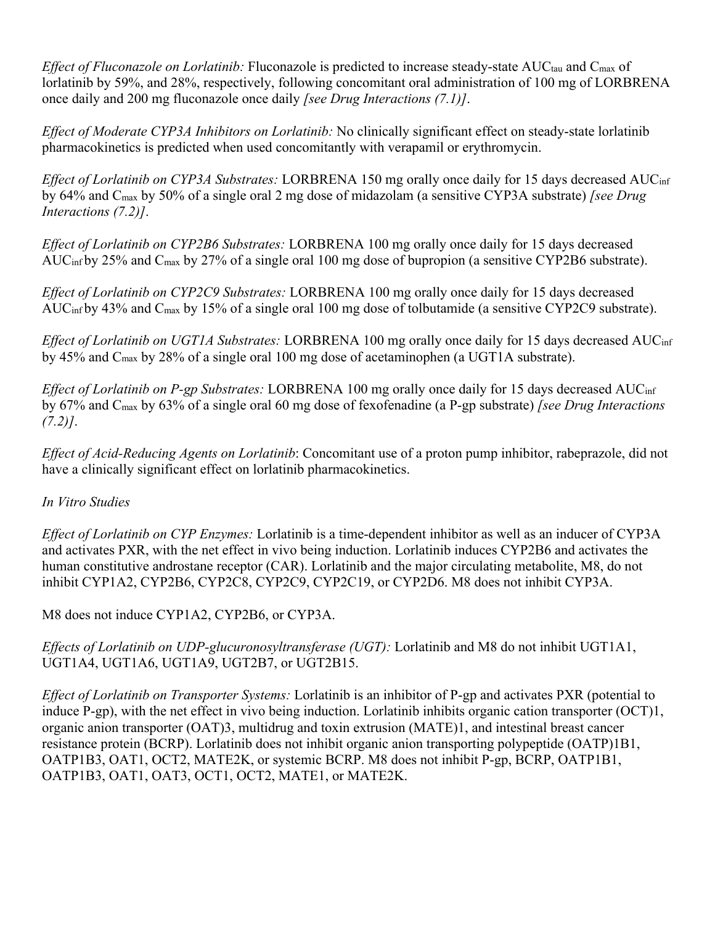*Effect of Fluconazole on Lorlatinib:* Fluconazole is predicted to increase steady-state AUC<sub>tau</sub> and C<sub>max</sub> of lorlatinib by 59%, and 28%, respectively, following concomitant oral administration of 100 mg of LORBRENA once daily and 200 mg fluconazole once daily *[see Drug Interactions (7.1)]*.

*Effect of Moderate CYP3A Inhibitors on Lorlatinib:* No clinically significant effect on steady-state lorlatinib pharmacokinetics is predicted when used concomitantly with verapamil or erythromycin.

*Effect of Lorlatinib on CYP3A Substrates:* LORBRENA 150 mg orally once daily for 15 days decreased AUC<sub>inf</sub> by 64% and Cmax by 50% of a single oral 2 mg dose of midazolam (a sensitive CYP3A substrate) *[see Drug Interactions (7.2)]*.

*Effect of Lorlatinib on CYP2B6 Substrates:* LORBRENA 100 mg orally once daily for 15 days decreased AUCinf by 25% and Cmax by 27% of a single oral 100 mg dose of bupropion (a sensitive CYP2B6 substrate).

*Effect of Lorlatinib on CYP2C9 Substrates:* LORBRENA 100 mg orally once daily for 15 days decreased AUCinf by 43% and Cmax by 15% of a single oral 100 mg dose of tolbutamide (a sensitive CYP2C9 substrate).

*Effect of Lorlatinib on UGT1A Substrates:* LORBRENA 100 mg orally once daily for 15 days decreased AUCinf by 45% and Cmax by 28% of a single oral 100 mg dose of acetaminophen (a UGT1A substrate).

*Effect of Lorlatinib on P-gp Substrates:* LORBRENA 100 mg orally once daily for 15 days decreased AUCinf by 67% and Cmax by 63% of a single oral 60 mg dose of fexofenadine (a P-gp substrate) *[see Drug Interactions (7.2)]*.

*Effect of Acid-Reducing Agents on Lorlatinib*: Concomitant use of a proton pump inhibitor, rabeprazole, did not have a clinically significant effect on lorlatinib pharmacokinetics.

## *In Vitro Studies*

*Effect of Lorlatinib on CYP Enzymes:* Lorlatinib is a time-dependent inhibitor as well as an inducer of CYP3A and activates PXR, with the net effect in vivo being induction. Lorlatinib induces CYP2B6 and activates the human constitutive androstane receptor (CAR). Lorlatinib and the major circulating metabolite, M8, do not inhibit CYP1A2, CYP2B6, CYP2C8, CYP2C9, CYP2C19, or CYP2D6. M8 does not inhibit CYP3A.

M8 does not induce CYP1A2, CYP2B6, or CYP3A.

*Effects of Lorlatinib on UDP-glucuronosyltransferase (UGT):* Lorlatinib and M8 do not inhibit UGT1A1, UGT1A4, UGT1A6, UGT1A9, UGT2B7, or UGT2B15.

*Effect of Lorlatinib on Transporter Systems:* Lorlatinib is an inhibitor of P-gp and activates PXR (potential to induce P-gp), with the net effect in vivo being induction. Lorlatinib inhibits organic cation transporter (OCT)1, organic anion transporter (OAT)3, multidrug and toxin extrusion (MATE)1, and intestinal breast cancer resistance protein (BCRP). Lorlatinib does not inhibit organic anion transporting polypeptide (OATP)1B1, OATP1B3, OAT1, OCT2, MATE2K, or systemic BCRP. M8 does not inhibit P-gp, BCRP, OATP1B1, OATP1B3, OAT1, OAT3, OCT1, OCT2, MATE1, or MATE2K.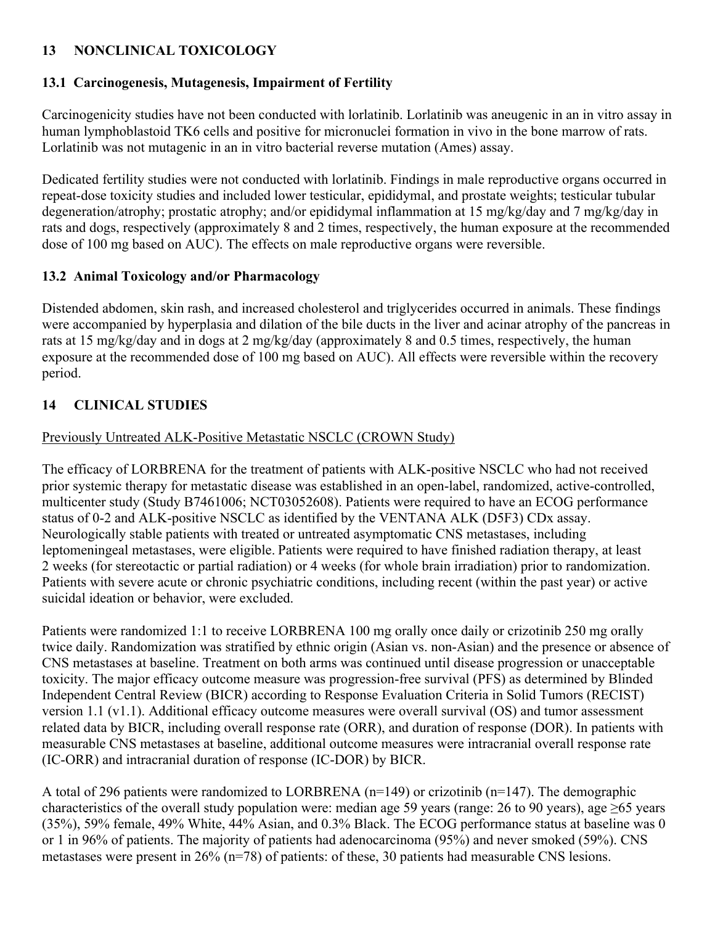## 9B**13 NONCLINICAL TOXICOLOGY**

## **13.1 Carcinogenesis, Mutagenesis, Impairment of Fertility**

Carcinogenicity studies have not been conducted with lorlatinib. Lorlatinib was aneugenic in an in vitro assay in human lymphoblastoid TK6 cells and positive for micronuclei formation in vivo in the bone marrow of rats. Lorlatinib was not mutagenic in an in vitro bacterial reverse mutation (Ames) assay.

Dedicated fertility studies were not conducted with lorlatinib. Findings in male reproductive organs occurred in repeat-dose toxicity studies and included lower testicular, epididymal, and prostate weights; testicular tubular degeneration/atrophy; prostatic atrophy; and/or epididymal inflammation at 15 mg/kg/day and 7 mg/kg/day in rats and dogs, respectively (approximately 8 and 2 times, respectively, the human exposure at the recommended dose of 100 mg based on AUC). The effects on male reproductive organs were reversible.

#### **13.2 Animal Toxicology and/or Pharmacology**

Distended abdomen, skin rash, and increased cholesterol and triglycerides occurred in animals. These findings were accompanied by hyperplasia and dilation of the bile ducts in the liver and acinar atrophy of the pancreas in rats at 15 mg/kg/day and in dogs at 2 mg/kg/day (approximately 8 and 0.5 times, respectively, the human exposure at the recommended dose of 100 mg based on AUC). All effects were reversible within the recovery period.

## 14 CLINICAL STUDIES

#### Previously Untreated ALK-Positive Metastatic NSCLC (CROWN Study)

The efficacy of LORBRENA for the treatment of patients with ALK-positive NSCLC who had not received prior systemic therapy for metastatic disease was established in an open-label, randomized, active-controlled, multicenter study (Study B7461006; NCT03052608). Patients were required to have an ECOG performance status of 0-2 and ALK-positive NSCLC as identified by the VENTANA ALK (D5F3) CDx assay. Neurologically stable patients with treated or untreated asymptomatic CNS metastases, including leptomeningeal metastases, were eligible. Patients were required to have finished radiation therapy, at least 2 weeks (for stereotactic or partial radiation) or 4 weeks (for whole brain irradiation) prior to randomization. Patients with severe acute or chronic psychiatric conditions, including recent (within the past year) or active suicidal ideation or behavior, were excluded.

Patients were randomized 1:1 to receive LORBRENA 100 mg orally once daily or crizotinib 250 mg orally twice daily. Randomization was stratified by ethnic origin (Asian vs. non-Asian) and the presence or absence of CNS metastases at baseline. Treatment on both arms was continued until disease progression or unacceptable toxicity. The major efficacy outcome measure was progression-free survival (PFS) as determined by Blinded Independent Central Review (BICR) according to Response Evaluation Criteria in Solid Tumors (RECIST) version 1.1 (v1.1). Additional efficacy outcome measures were overall survival (OS) and tumor assessment related data by BICR, including overall response rate (ORR), and duration of response (DOR). In patients with measurable CNS metastases at baseline, additional outcome measures were intracranial overall response rate (IC-ORR) and intracranial duration of response (IC-DOR) by BICR.

A total of 296 patients were randomized to LORBRENA  $(n=149)$  or crizotinib  $(n=147)$ . The demographic characteristics of the overall study population were: median age 59 years (range: 26 to 90 years), age ≥65 years (35%), 59% female, 49% White, 44% Asian, and 0.3% Black. The ECOG performance status at baseline was 0 or 1 in 96% of patients. The majority of patients had adenocarcinoma (95%) and never smoked (59%). CNS metastases were present in 26% (n=78) of patients: of these, 30 patients had measurable CNS lesions.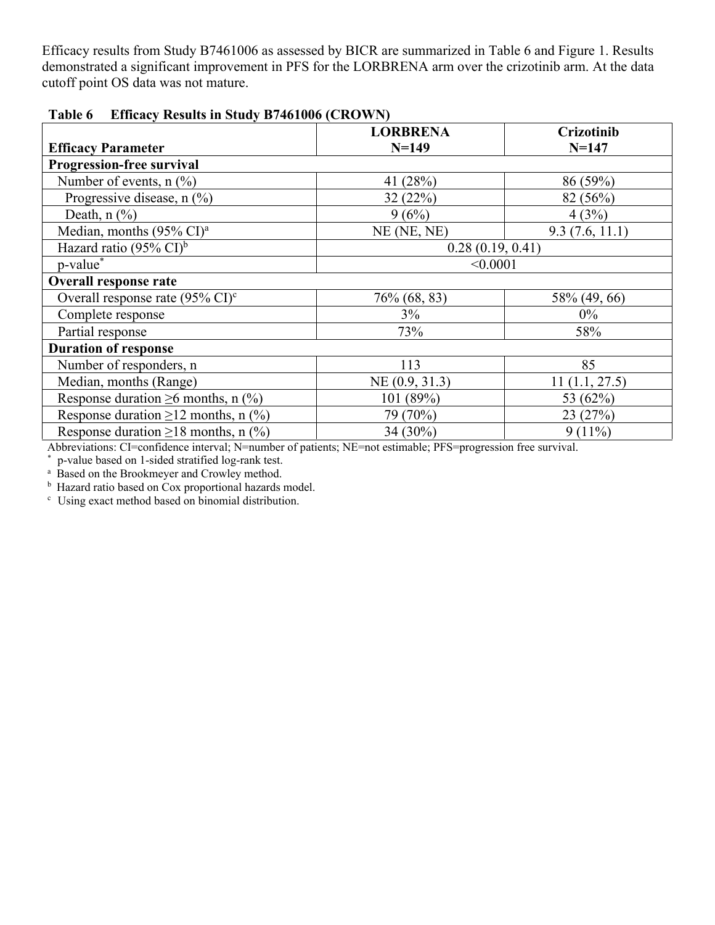Efficacy results from Study B7461006 as assessed by BICR are summarized in Table 6 and Figure 1. Results demonstrated a significant improvement in PFS for the LORBRENA arm over the crizotinib arm. At the data cutoff point OS data was not mature.

| $\sum_{i=1}^{n}$                              |                  |                |  |  |
|-----------------------------------------------|------------------|----------------|--|--|
|                                               | <b>LORBRENA</b>  | Crizotinib     |  |  |
| <b>Efficacy Parameter</b>                     | $N = 149$        | $N = 147$      |  |  |
| <b>Progression-free survival</b>              |                  |                |  |  |
| Number of events, $n$ $%$                     | 41 (28%)         | 86 (59%)       |  |  |
| Progressive disease, n (%)                    | 32(22%)          | 82 (56%)       |  |  |
| Death, $n$ $\left(\frac{9}{6}\right)$         | 9(6%)            | 4(3%)          |  |  |
| Median, months $(95\% \text{ CI})^{\text{a}}$ | NE (NE, NE)      | 9.3(7.6, 11.1) |  |  |
| Hazard ratio (95% $CI$ ) <sup>b</sup>         | 0.28(0.19, 0.41) |                |  |  |
| p-value*                                      | < 0.0001         |                |  |  |
| <b>Overall response rate</b>                  |                  |                |  |  |
| Overall response rate (95% CI) <sup>c</sup>   | 76\% (68, 83)    | 58% (49, 66)   |  |  |
| Complete response                             | 3%               | $0\%$          |  |  |
| Partial response                              | 73%              | 58%            |  |  |
| <b>Duration of response</b>                   |                  |                |  |  |
| Number of responders, n                       | 113              | 85             |  |  |
| Median, months (Range)                        | NE(0.9, 31.3)    | 11(1.1, 27.5)  |  |  |
| Response duration $\geq 6$ months, n (%)      | 101 (89%)        | 53 (62%)       |  |  |
| Response duration $\geq$ 12 months, n (%)     | 79 (70%)         | 23(27%)        |  |  |
| Response duration $\geq$ 18 months, n (%)     | $34(30\%)$       | $9(11\%)$      |  |  |

**Table 6 Efficacy Results in Study B7461006 (CROWN)** 

Abbreviations: CI=confidence interval; N=number of patients; NE=not estimable; PFS=progression free survival.

p-value based on 1-sided stratified log-rank test.

<sup>a</sup> Based on the Brookmeyer and Crowley method.

<sup>b</sup> Hazard ratio based on Cox proportional hazards model.<br><sup>c</sup> Using exact method based on binomial distribution

Using exact method based on binomial distribution.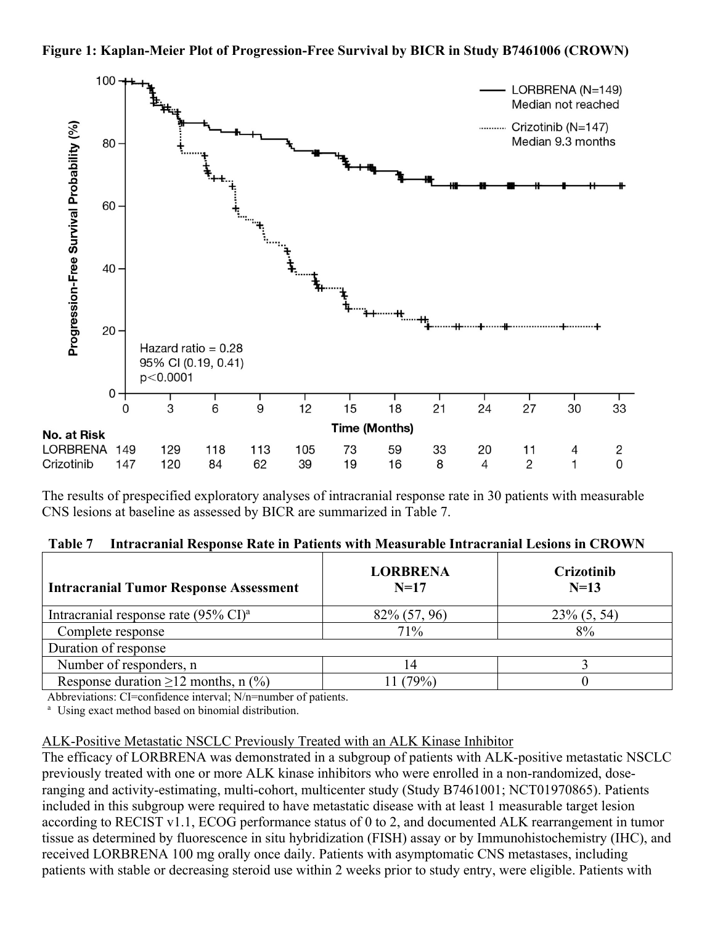



The results of prespecified exploratory analyses of intracranial response rate in 30 patients with measurable CNS lesions at baseline as assessed by BICR are summarized in Table 7.

|  | Table 7 Intracranial Response Rate in Patients with Measurable Intracranial Lesions in CROWN |  |
|--|----------------------------------------------------------------------------------------------|--|
|  |                                                                                              |  |

| <b>Intracranial Tumor Response Assessment</b>             | <b>LORBRENA</b><br>$N=17$ | Crizotinib<br>$N=13$ |  |  |
|-----------------------------------------------------------|---------------------------|----------------------|--|--|
| Intracranial response rate $(95\% \text{ CI})^{\text{a}}$ | 82\% (57, 96)             | $23\% (5, 54)$       |  |  |
| Complete response                                         | 71%                       | 8%                   |  |  |
| Duration of response                                      |                           |                      |  |  |
| Number of responders, n                                   |                           |                      |  |  |
| Response duration $\geq$ 12 months, n (%)                 | $79\%)$                   |                      |  |  |

Abbreviations: CI=confidence interval; N/n=number of patients.

<sup>a</sup> Using exact method based on binomial distribution.

#### ALK-Positive Metastatic NSCLC Previously Treated with an ALK Kinase Inhibitor

The efficacy of LORBRENA was demonstrated in a subgroup of patients with ALK-positive metastatic NSCLC previously treated with one or more ALK kinase inhibitors who were enrolled in a non-randomized, doseranging and activity-estimating, multi-cohort, multicenter study (Study B7461001; NCT01970865). Patients included in this subgroup were required to have metastatic disease with at least 1 measurable target lesion according to RECIST v1.1, ECOG performance status of 0 to 2, and documented ALK rearrangement in tumor tissue as determined by fluorescence in situ hybridization (FISH) assay or by Immunohistochemistry (IHC), and received LORBRENA 100 mg orally once daily. Patients with asymptomatic CNS metastases, including patients with stable or decreasing steroid use within 2 weeks prior to study entry, were eligible. Patients with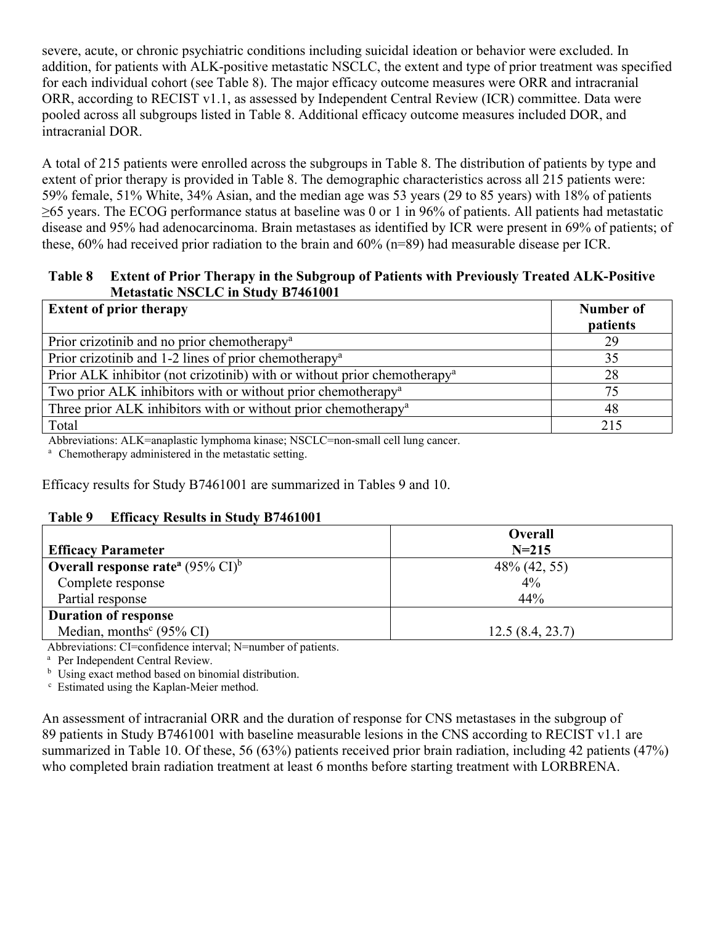severe, acute, or chronic psychiatric conditions including suicidal ideation or behavior were excluded. In addition, for patients with ALK-positive metastatic NSCLC, the extent and type of prior treatment was specified for each individual cohort (see Table 8). The major efficacy outcome measures were ORR and intracranial ORR, according to RECIST v1.1, as assessed by Independent Central Review (ICR) committee. Data were pooled across all subgroups listed in Table 8. Additional efficacy outcome measures included DOR, and intracranial DOR.

A total of 215 patients were enrolled across the subgroups in Table 8. The distribution of patients by type and extent of prior therapy is provided in Table 8. The demographic characteristics across all 215 patients were: 59% female, 51% White, 34% Asian, and the median age was 53 years (29 to 85 years) with 18% of patients ≥65 years. The ECOG performance status at baseline was 0 or 1 in 96% of patients. All patients had metastatic disease and 95% had adenocarcinoma. Brain metastases as identified by ICR were present in 69% of patients; of these, 60% had received prior radiation to the brain and 60% (n=89) had measurable disease per ICR.

#### **Table 8 Extent of Prior Therapy in the Subgroup of Patients with Previously Treated ALK-Positive Metastatic NSCLC in Study B7461001**

| <b>Extent of prior therapy</b>                                                       | <b>Number of</b><br><b>patients</b> |
|--------------------------------------------------------------------------------------|-------------------------------------|
| Prior crizotinib and no prior chemotherapy <sup>a</sup>                              | 29                                  |
| Prior crizotinib and 1-2 lines of prior chemotherapy <sup>a</sup>                    | 35                                  |
| Prior ALK inhibitor (not crizotinib) with or without prior chemotherapy <sup>a</sup> | 28                                  |
| Two prior ALK inhibitors with or without prior chemotherapy <sup>a</sup>             | 75                                  |
| Three prior ALK inhibitors with or without prior chemotherapy <sup>a</sup>           | 48                                  |
| Total                                                                                | 215                                 |

Abbreviations: ALK=anaplastic lymphoma kinase; NSCLC=non-small cell lung cancer.<br><sup>a</sup> Chemotherapy administered in the metastatic setting.

Efficacy results for Study B7461001 are summarized in Tables 9 and 10.

#### **Table 9 Efficacy Results in Study B7461001**

|                                                    | Overall         |
|----------------------------------------------------|-----------------|
| <b>Efficacy Parameter</b>                          | $N = 215$       |
| <b>Overall response rate</b> $(95\% \text{ CI})^6$ | 48% (42, 55)    |
| Complete response                                  | $4\%$           |
| Partial response                                   | 44%             |
| <b>Duration of response</b>                        |                 |
| Median, months <sup>c</sup> (95% CI)               | 12.5(8.4, 23.7) |

Abbreviations: CI=confidence interval; N=number of patients.

<sup>a</sup> Per Independent Central Review.

<sup>b</sup> Using exact method based on binomial distribution.

c Estimated using the Kaplan-Meier method.

An assessment of intracranial ORR and the duration of response for CNS metastases in the subgroup of 89 patients in Study B7461001 with baseline measurable lesions in the CNS according to RECIST v1.1 are summarized in Table 10. Of these, 56 (63%) patients received prior brain radiation, including 42 patients (47%) who completed brain radiation treatment at least 6 months before starting treatment with LORBRENA.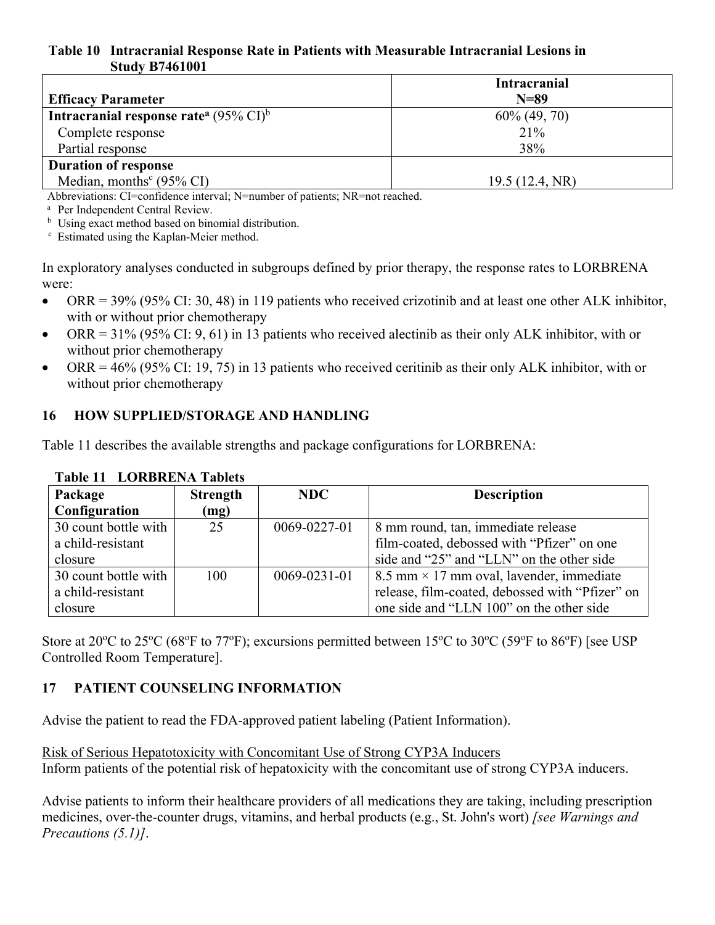#### **Table 10 Intracranial Response Rate in Patients with Measurable Intracranial Lesions in Study B7461001**

|                                                               | <b>Intracranial</b> |
|---------------------------------------------------------------|---------------------|
| <b>Efficacy Parameter</b>                                     | $N=89$              |
| Intracranial response rate <sup>a</sup> (95% CI) <sup>b</sup> | $60\%$ (49, 70)     |
| Complete response                                             | 21%                 |
| Partial response                                              | 38%                 |
| <b>Duration of response</b>                                   |                     |
| Median, months <sup>c</sup> (95% CI)                          | 19.5(12.4, NR)      |

Abbreviations: CI=confidence interval; N=number of patients; NR=not reached.

<sup>a</sup> Per Independent Central Review.

<sup>b</sup> Using exact method based on binomial distribution.

c Estimated using the Kaplan-Meier method.

In exploratory analyses conducted in subgroups defined by prior therapy, the response rates to LORBRENA were:

- ORR = 39% (95% CI: 30, 48) in 119 patients who received crizotinib and at least one other ALK inhibitor, with or without prior chemotherapy
- ORR =  $31\%$  (95% CI: 9, 61) in 13 patients who received alectinib as their only ALK inhibitor, with or without prior chemotherapy
- ORR =  $46\%$  (95% CI: 19, 75) in 13 patients who received ceritinib as their only ALK inhibitor, with or without prior chemotherapy

#### 16 HOW SUPPLIED/STORAGE AND HANDLING

Table 11 describes the available strengths and package configurations for LORBRENA:

| Package              | <b>Strength</b> | NDC.               | <b>Description</b>                              |  |
|----------------------|-----------------|--------------------|-------------------------------------------------|--|
| Configuration        | (mg)            |                    |                                                 |  |
| 30 count bottle with | 25              | 0069-0227-01       | 8 mm round, tan, immediate release              |  |
| a child-resistant    |                 |                    | film-coated, debossed with "Pfizer" on one      |  |
| closure              |                 |                    | side and "25" and "LLN" on the other side       |  |
| 30 count bottle with | 100             | $0069 - 0231 - 01$ | 8.5 mm $\times$ 17 mm oval, lavender, immediate |  |
| a child-resistant    |                 |                    | release, film-coated, debossed with "Pfizer" on |  |
| closure              |                 |                    | one side and "LLN 100" on the other side        |  |

#### **Table 11 LORBRENA Tablets**

Store at 20 $^{\circ}$ C to 25 $^{\circ}$ C (68 $^{\circ}$ F to 77 $^{\circ}$ F); excursions permitted between 15 $^{\circ}$ C to 30 $^{\circ}$ C (59 $^{\circ}$ F to 86 $^{\circ}$ F) [see USP Controlled Room Temperature].

## 17 PATIENT COUNSELING INFORMATION

Advise the patient to read the FDA-approved patient labeling (Patient Information).

Risk of Serious Hepatotoxicity with Concomitant Use of Strong CYP3A Inducers Inform patients of the potential risk of hepatoxicity with the concomitant use of strong CYP3A inducers.

Advise patients to inform their healthcare providers of all medications they are taking, including prescription medicines, over-the-counter drugs, vitamins, and herbal products (e.g., St. John's wort) *[see Warnings and Precautions (5.1)]*.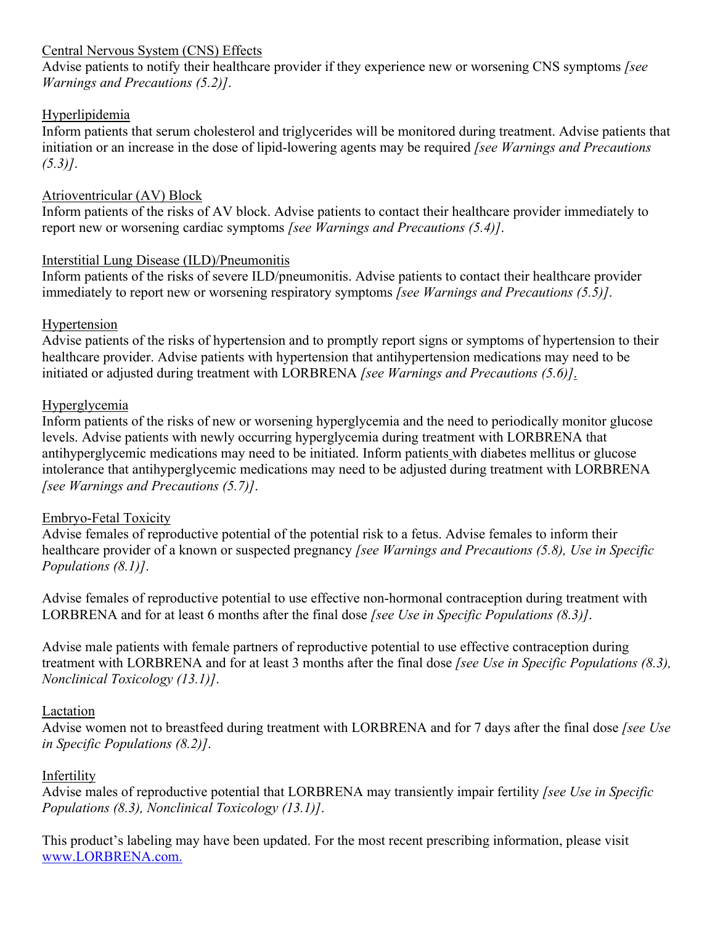#### Central Nervous System (CNS) Effects

Advise patients to notify their healthcare provider if they experience new or worsening CNS symptoms *[see Warnings and Precautions (5.2)]*.

#### Hyperlipidemia

Inform patients that serum cholesterol and triglycerides will be monitored during treatment. Advise patients that initiation or an increase in the dose of lipid-lowering agents may be required *[see Warnings and Precautions (5.3)]*.

#### Atrioventricular (AV) Block

Inform patients of the risks of AV block. Advise patients to contact their healthcare provider immediately to report new or worsening cardiac symptoms *[see Warnings and Precautions (5.4)]*.

#### Interstitial Lung Disease (ILD)/Pneumonitis

Inform patients of the risks of severe ILD/pneumonitis. Advise patients to contact their healthcare provider immediately to report new or worsening respiratory symptoms *[see Warnings and Precautions (5.5)]*.

#### Hypertension

Advise patients of the risks of hypertension and to promptly report signs or symptoms of hypertension to their healthcare provider. Advise patients with hypertension that antihypertension medications may need to be initiated or adjusted during treatment with LORBRENA *[see Warnings and Precautions (5.6)]*.

#### Hyperglycemia

Inform patients of the risks of new or worsening hyperglycemia and the need to periodically monitor glucose levels. Advise patients with newly occurring hyperglycemia during treatment with LORBRENA that antihyperglycemic medications may need to be initiated. Inform patients with diabetes mellitus or glucose intolerance that antihyperglycemic medications may need to be adjusted during treatment with LORBRENA *[see Warnings and Precautions (5.7)]*.

## Embryo-Fetal Toxicity

Advise females of reproductive potential of the potential risk to a fetus. Advise females to inform their healthcare provider of a known or suspected pregnancy *[see Warnings and Precautions (5.8), Use in Specific Populations (8.1)]*.

Advise females of reproductive potential to use effective non-hormonal contraception during treatment with LORBRENA and for at least 6 months after the final dose *[see Use in Specific Populations (8.3)]*.

Advise male patients with female partners of reproductive potential to use effective contraception during treatment with LORBRENA and for at least 3 months after the final dose *[see Use in Specific Populations (8.3), Nonclinical Toxicology (13.1)]*.

#### Lactation

Advise women not to breastfeed during treatment with LORBRENA and for 7 days after the final dose *[see Use in Specific Populations (8.2)]*.

## Infertility

Advise males of reproductive potential that LORBRENA may transiently impair fertility *[see Use in Specific Populations (8.3), Nonclinical Toxicology (13.1)]*.

This product's labeling may have been updated. For the most recent prescribing information, please visit www.LORBRENA.com.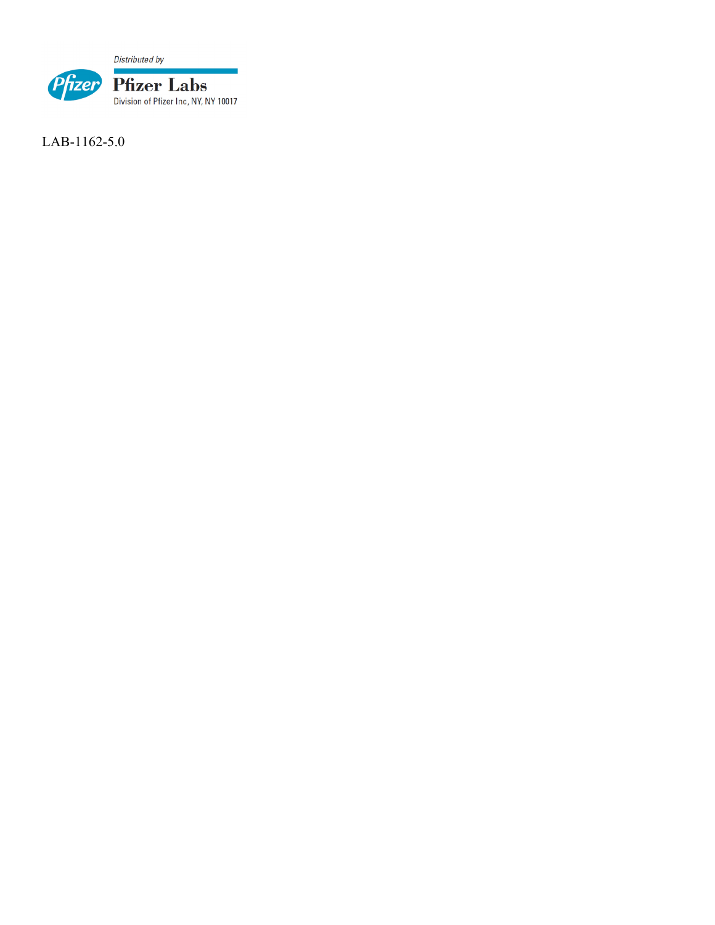Distributed by



LAB-1162-5.0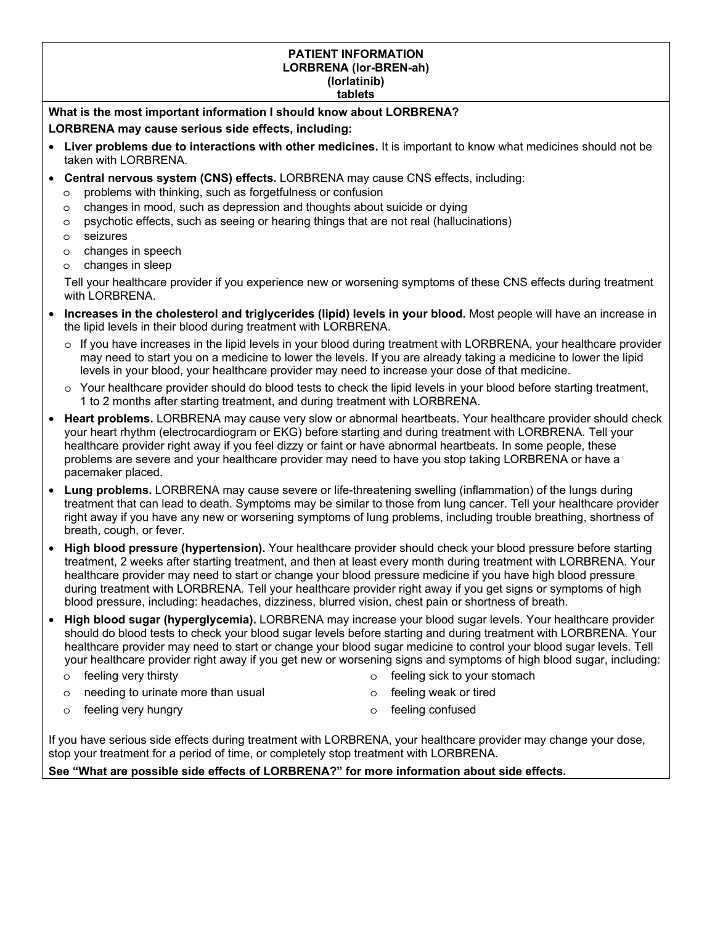#### **PATIENT INFORMATION LORBRENA (lor-BREN-ah) (lorlatinib)**

#### **tablets**

**What is the most important information I should know about LORBRENA? LORBRENA may cause serious side effects, including:** 

- **Liver problems due to interactions with other medicines.** It is important to know what medicines should not be taken with LORBRENA.
- **Central nervous system (CNS) effects.** LORBRENA may cause CNS effects, including:
	- o problems with thinking, such as forgetfulness or confusion
	- o changes in mood, such as depression and thoughts about suicide or dying
	- $\circ$  psychotic effects, such as seeing or hearing things that are not real (hallucinations)
	- o seizures
	- o changes in speech
	- o changes in sleep

Tell your healthcare provider if you experience new or worsening symptoms of these CNS effects during treatment with LORBRENA.

- **Increases in the cholesterol and triglycerides (lipid) levels in your blood.** Most people will have an increase in the lipid levels in their blood during treatment with LORBRENA.
	- o If you have increases in the lipid levels in your blood during treatment with LORBRENA, your healthcare provider may need to start you on a medicine to lower the levels. If you are already taking a medicine to lower the lipid levels in your blood, your healthcare provider may need to increase your dose of that medicine.
	- o Your healthcare provider should do blood tests to check the lipid levels in your blood before starting treatment, 1 to 2 months after starting treatment, and during treatment with LORBRENA.
- **Heart problems.** LORBRENA may cause very slow or abnormal heartbeats. Your healthcare provider should check your heart rhythm (electrocardiogram or EKG) before starting and during treatment with LORBRENA. Tell your healthcare provider right away if you feel dizzy or faint or have abnormal heartbeats. In some people, these problems are severe and your healthcare provider may need to have you stop taking LORBRENA or have a pacemaker placed.
- **Lung problems.** LORBRENA may cause severe or life-threatening swelling (inflammation) of the lungs during treatment that can lead to death. Symptoms may be similar to those from lung cancer. Tell your healthcare provider right away if you have any new or worsening symptoms of lung problems, including trouble breathing, shortness of breath, cough, or fever.
- **High blood pressure (hypertension).** Your healthcare provider should check your blood pressure before starting treatment, 2 weeks after starting treatment, and then at least every month during treatment with LORBRENA. Your healthcare provider may need to start or change your blood pressure medicine if you have high blood pressure during treatment with LORBRENA. Tell your healthcare provider right away if you get signs or symptoms of high blood pressure, including: headaches, dizziness, blurred vision, chest pain or shortness of breath.
- **High blood sugar (hyperglycemia).** LORBRENA may increase your blood sugar levels. Your healthcare provider should do blood tests to check your blood sugar levels before starting and during treatment with LORBRENA. Your healthcare provider may need to start or change your blood sugar medicine to control your blood sugar levels. Tell your healthcare provider right away if you get new or worsening signs and symptoms of high blood sugar, including:

o feeling very thirsty

needing to urinate more than usual

- o feeling sick to your stomach
- o feeling weak or tired

o feeling very hungry

o feeling confused

If you have serious side effects during treatment with LORBRENA, your healthcare provider may change your dose, stop your treatment for a period of time, or completely stop treatment with LORBRENA.

#### **See "What are possible side effects of LORBRENA?" for more information about side effects.**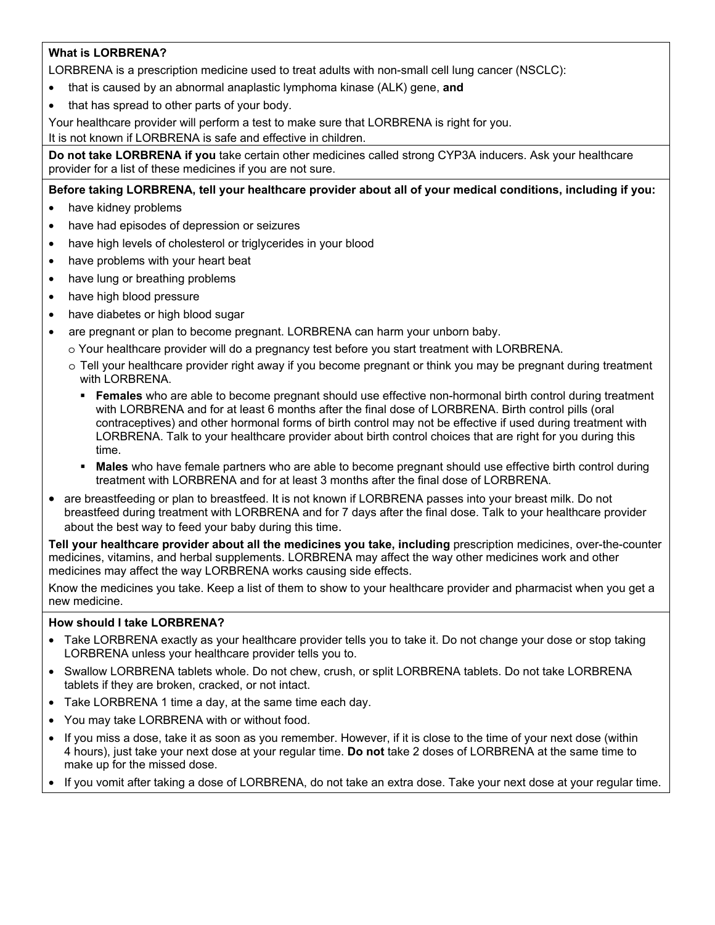#### **What is LORBRENA?**

LORBRENA is a prescription medicine used to treat adults with non-small cell lung cancer (NSCLC):

- that is caused by an abnormal anaplastic lymphoma kinase (ALK) gene, **and**
- that has spread to other parts of your body.

Your healthcare provider will perform a test to make sure that LORBRENA is right for you.

It is not known if LORBRENA is safe and effective in children.

**Do not take LORBRENA if you** take certain other medicines called strong CYP3A inducers. Ask your healthcare provider for a list of these medicines if you are not sure.

#### **Before taking LORBRENA, tell your healthcare provider about all of your medical conditions, including if you:**

- have kidney problems
- have had episodes of depression or seizures
- have high levels of cholesterol or triglycerides in your blood
- have problems with your heart beat
- have lung or breathing problems
- have high blood pressure
- have diabetes or high blood sugar
- are pregnant or plan to become pregnant. LORBRENA can harm your unborn baby.
	- o Your healthcare provider will do a pregnancy test before you start treatment with LORBRENA.
	- o Tell your healthcare provider right away if you become pregnant or think you may be pregnant during treatment with LORBRENA.
		- **Females** who are able to become pregnant should use effective non-hormonal birth control during treatment with LORBRENA and for at least 6 months after the final dose of LORBRENA. Birth control pills (oral contraceptives) and other hormonal forms of birth control may not be effective if used during treatment with LORBRENA. Talk to your healthcare provider about birth control choices that are right for you during this time.
		- **Males** who have female partners who are able to become pregnant should use effective birth control during treatment with LORBRENA and for at least 3 months after the final dose of LORBRENA.
- are breastfeeding or plan to breastfeed. It is not known if LORBRENA passes into your breast milk. Do not breastfeed during treatment with LORBRENA and for 7 days after the final dose. Talk to your healthcare provider about the best way to feed your baby during this time.

**Tell your healthcare provider about all the medicines you take, including** prescription medicines, over-the-counter medicines, vitamins, and herbal supplements. LORBRENA may affect the way other medicines work and other medicines may affect the way LORBRENA works causing side effects.

Know the medicines you take. Keep a list of them to show to your healthcare provider and pharmacist when you get a new medicine.

#### **How should I take LORBRENA?**

- Take LORBRENA exactly as your healthcare provider tells you to take it. Do not change your dose or stop taking LORBRENA unless your healthcare provider tells you to.
- Swallow LORBRENA tablets whole. Do not chew, crush, or split LORBRENA tablets. Do not take LORBRENA tablets if they are broken, cracked, or not intact.
- Take LORBRENA 1 time a day, at the same time each day.
- You may take LORBRENA with or without food.
- If you miss a dose, take it as soon as you remember. However, if it is close to the time of your next dose (within 4 hours), just take your next dose at your regular time. **Do not** take 2 doses of LORBRENA at the same time to make up for the missed dose.
- If you vomit after taking a dose of LORBRENA, do not take an extra dose. Take your next dose at your regular time.